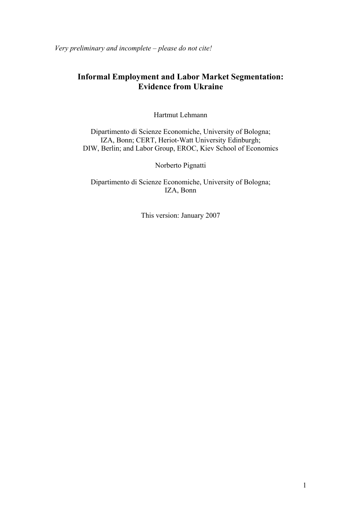*Very preliminary and incomplete – please do not cite!* 

## **Informal Employment and Labor Market Segmentation: Evidence from Ukraine**

Hartmut Lehmann

Dipartimento di Scienze Economiche, University of Bologna; IZA, Bonn; CERT, Heriot-Watt University Edinburgh; DIW, Berlin; and Labor Group, EROC, Kiev School of Economics

Norberto Pignatti

Dipartimento di Scienze Economiche, University of Bologna; IZA, Bonn

This version: January 2007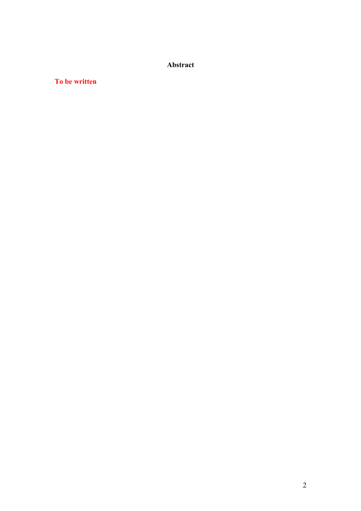**Abstract** 

### **To be written**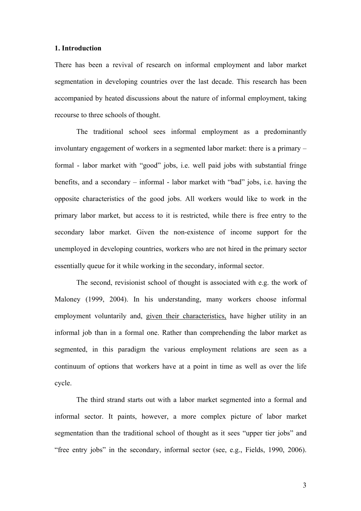#### **1. Introduction**

There has been a revival of research on informal employment and labor market segmentation in developing countries over the last decade. This research has been accompanied by heated discussions about the nature of informal employment, taking recourse to three schools of thought.

The traditional school sees informal employment as a predominantly involuntary engagement of workers in a segmented labor market: there is a primary – formal - labor market with "good" jobs, i.e. well paid jobs with substantial fringe benefits, and a secondary – informal - labor market with "bad" jobs, i.e. having the opposite characteristics of the good jobs. All workers would like to work in the primary labor market, but access to it is restricted, while there is free entry to the secondary labor market. Given the non-existence of income support for the unemployed in developing countries, workers who are not hired in the primary sector essentially queue for it while working in the secondary, informal sector.

The second, revisionist school of thought is associated with e.g. the work of Maloney (1999, 2004). In his understanding, many workers choose informal employment voluntarily and, given their characteristics, have higher utility in an informal job than in a formal one. Rather than comprehending the labor market as segmented, in this paradigm the various employment relations are seen as a continuum of options that workers have at a point in time as well as over the life cycle.

The third strand starts out with a labor market segmented into a formal and informal sector. It paints, however, a more complex picture of labor market segmentation than the traditional school of thought as it sees "upper tier jobs" and "free entry jobs" in the secondary, informal sector (see, e.g., Fields, 1990, 2006).

3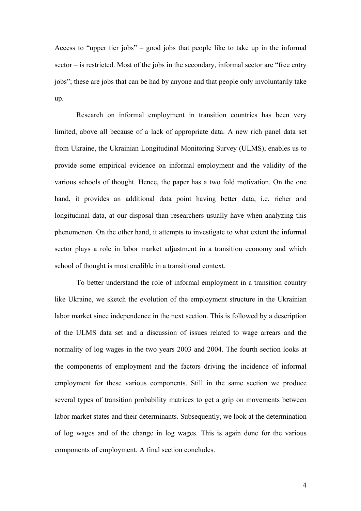Access to "upper tier jobs" – good jobs that people like to take up in the informal sector – is restricted. Most of the jobs in the secondary, informal sector are "free entry jobs"; these are jobs that can be had by anyone and that people only involuntarily take up.

Research on informal employment in transition countries has been very limited, above all because of a lack of appropriate data. A new rich panel data set from Ukraine, the Ukrainian Longitudinal Monitoring Survey (ULMS), enables us to provide some empirical evidence on informal employment and the validity of the various schools of thought. Hence, the paper has a two fold motivation. On the one hand, it provides an additional data point having better data, i.e. richer and longitudinal data, at our disposal than researchers usually have when analyzing this phenomenon. On the other hand, it attempts to investigate to what extent the informal sector plays a role in labor market adjustment in a transition economy and which school of thought is most credible in a transitional context.

To better understand the role of informal employment in a transition country like Ukraine, we sketch the evolution of the employment structure in the Ukrainian labor market since independence in the next section. This is followed by a description of the ULMS data set and a discussion of issues related to wage arrears and the normality of log wages in the two years 2003 and 2004. The fourth section looks at the components of employment and the factors driving the incidence of informal employment for these various components. Still in the same section we produce several types of transition probability matrices to get a grip on movements between labor market states and their determinants. Subsequently, we look at the determination of log wages and of the change in log wages. This is again done for the various components of employment. A final section concludes.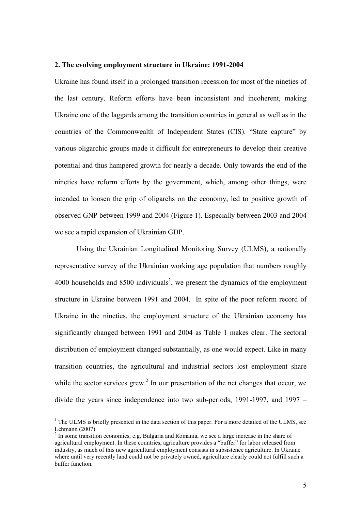#### **2. The evolving employment structure in Ukraine: 1991-2004**

Ukraine has found itself in a prolonged transition recession for most of the nineties of the last century. Reform efforts have been inconsistent and incoherent, making Ukraine one of the laggards among the transition countries in general as well as in the countries of the Commonwealth of Independent States (CIS). "State capture" by various oligarchic groups made it difficult for entrepreneurs to develop their creative potential and thus hampered growth for nearly a decade. Only towards the end of the nineties have reform efforts by the government, which, among other things, were intended to loosen the grip of oligarchs on the economy, led to positive growth of observed GNP between 1999 and 2004 (Figure 1). Especially between 2003 and 2004 we see a rapid expansion of Ukrainian GDP.

Using the Ukrainian Longitudinal Monitoring Survey (ULMS), a nationally representative survey of the Ukrainian working age population that numbers roughly 4000 households and  $8500$  individuals<sup>1</sup>, we present the dynamics of the employment structure in Ukraine between 1991 and 2004. In spite of the poor reform record of Ukraine in the nineties, the employment structure of the Ukrainian economy has significantly changed between 1991 and 2004 as Table 1 makes clear. The sectoral distribution of employment changed substantially, as one would expect. Like in many transition countries, the agricultural and industrial sectors lost employment share while the sector services grew.<sup>2</sup> In our presentation of the net changes that occur, we divide the years since independence into two sub-periods, 1991-1997, and 1997 –

 $\overline{a}$ 

 $<sup>1</sup>$  The ULMS is briefly presented in the data section of this paper. For a more detailed of the ULMS, see</sup> Lehmann (2007).

 $2<sup>2</sup>$  In some transition economies, e.g. Bulgaria and Romania, we see a large increase in the share of agricultural employment. In these countries, agriculture provides a "buffer" for labor released from industry, as much of this new agricultural employment consists in subsistence agriculture. In Ukraine where until very recently land could not be privately owned, agriculture clearly could not fulfill such a buffer function.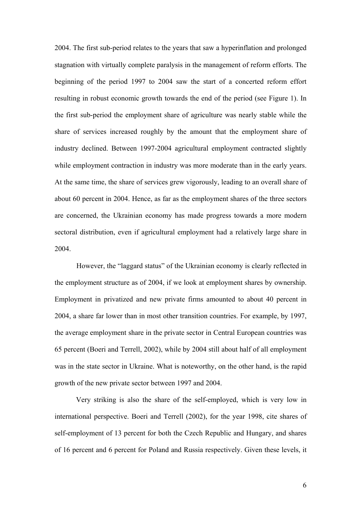2004. The first sub-period relates to the years that saw a hyperinflation and prolonged stagnation with virtually complete paralysis in the management of reform efforts. The beginning of the period 1997 to 2004 saw the start of a concerted reform effort resulting in robust economic growth towards the end of the period (see Figure 1). In the first sub-period the employment share of agriculture was nearly stable while the share of services increased roughly by the amount that the employment share of industry declined. Between 1997-2004 agricultural employment contracted slightly while employment contraction in industry was more moderate than in the early years. At the same time, the share of services grew vigorously, leading to an overall share of about 60 percent in 2004. Hence, as far as the employment shares of the three sectors are concerned, the Ukrainian economy has made progress towards a more modern sectoral distribution, even if agricultural employment had a relatively large share in 2004.

 However, the "laggard status" of the Ukrainian economy is clearly reflected in the employment structure as of 2004, if we look at employment shares by ownership. Employment in privatized and new private firms amounted to about 40 percent in 2004, a share far lower than in most other transition countries. For example, by 1997, the average employment share in the private sector in Central European countries was 65 percent (Boeri and Terrell, 2002), while by 2004 still about half of all employment was in the state sector in Ukraine. What is noteworthy, on the other hand, is the rapid growth of the new private sector between 1997 and 2004.

Very striking is also the share of the self-employed, which is very low in international perspective. Boeri and Terrell (2002), for the year 1998, cite shares of self-employment of 13 percent for both the Czech Republic and Hungary, and shares of 16 percent and 6 percent for Poland and Russia respectively. Given these levels, it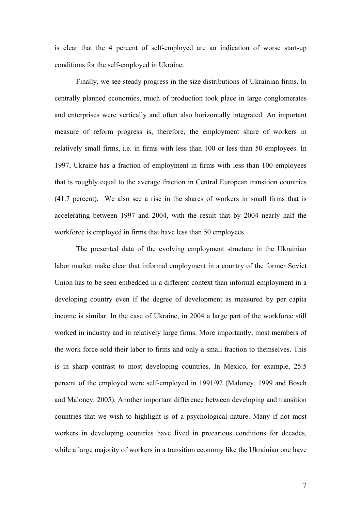is clear that the 4 percent of self-employed are an indication of worse start-up conditions for the self-employed in Ukraine.

Finally, we see steady progress in the size distributions of Ukrainian firms. In centrally planned economies, much of production took place in large conglomerates and enterprises were vertically and often also horizontally integrated. An important measure of reform progress is, therefore, the employment share of workers in relatively small firms, i.e. in firms with less than 100 or less than 50 employees. In 1997, Ukraine has a fraction of employment in firms with less than 100 employees that is roughly equal to the average fraction in Central European transition countries (41.7 percent). We also see a rise in the shares of workers in small firms that is accelerating between 1997 and 2004, with the result that by 2004 nearly half the workforce is employed in firms that have less than 50 employees.

The presented data of the evolving employment structure in the Ukrainian labor market make clear that informal employment in a country of the former Soviet Union has to be seen embedded in a different context than informal employment in a developing country even if the degree of development as measured by per capita income is similar. In the case of Ukraine, in 2004 a large part of the workforce still worked in industry and in relatively large firms. More importantly, most members of the work force sold their labor to firms and only a small fraction to themselves. This is in sharp contrast to most developing countries. In Mexico, for example, 25.5 percent of the employed were self-employed in 1991/92 (Maloney, 1999 and Bosch and Maloney, 2005). Another important difference between developing and transition countries that we wish to highlight is of a psychological nature. Many if not most workers in developing countries have lived in precarious conditions for decades, while a large majority of workers in a transition economy like the Ukrainian one have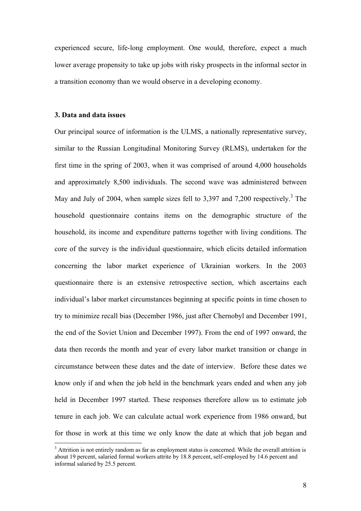experienced secure, life-long employment. One would, therefore, expect a much lower average propensity to take up jobs with risky prospects in the informal sector in a transition economy than we would observe in a developing economy.

#### **3. Data and data issues**

 $\overline{a}$ 

Our principal source of information is the ULMS, a nationally representative survey, similar to the Russian Longitudinal Monitoring Survey (RLMS), undertaken for the first time in the spring of 2003, when it was comprised of around 4,000 households and approximately 8,500 individuals. The second wave was administered between May and July of 2004, when sample sizes fell to  $3,397$  and  $7,200$  respectively.<sup>3</sup> The household questionnaire contains items on the demographic structure of the household, its income and expenditure patterns together with living conditions. The core of the survey is the individual questionnaire, which elicits detailed information concerning the labor market experience of Ukrainian workers. In the 2003 questionnaire there is an extensive retrospective section, which ascertains each individual's labor market circumstances beginning at specific points in time chosen to try to minimize recall bias (December 1986, just after Chernobyl and December 1991, the end of the Soviet Union and December 1997). From the end of 1997 onward, the data then records the month and year of every labor market transition or change in circumstance between these dates and the date of interview. Before these dates we know only if and when the job held in the benchmark years ended and when any job held in December 1997 started. These responses therefore allow us to estimate job tenure in each job. We can calculate actual work experience from 1986 onward, but for those in work at this time we only know the date at which that job began and

<sup>&</sup>lt;sup>3</sup> Attrition is not entirely random as far as employment status is concerned. While the overall attrition is about 19 percent, salaried formal workers attrite by 18.8 percent, self-employed by 14.6 percent and informal salaried by 25.5 percent.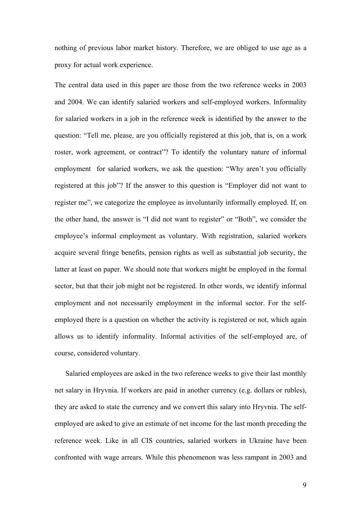nothing of previous labor market history. Therefore, we are obliged to use age as a proxy for actual work experience.

The central data used in this paper are those from the two reference weeks in 2003 and 2004. We can identify salaried workers and self-employed workers. Informality for salaried workers in a job in the reference week is identified by the answer to the question: "Tell me, please, are you officially registered at this job, that is, on a work roster, work agreement, or contract"? To identify the voluntary nature of informal employment for salaried workers, we ask the question: "Why aren't you officially registered at this job"? If the answer to this question is "Employer did not want to register me", we categorize the employee as involuntarily informally employed. If, on the other hand, the answer is "I did not want to register" or "Both", we consider the employee's informal employment as voluntary. With registration, salaried workers acquire several fringe benefits, pension rights as well as substantial job security, the latter at least on paper. We should note that workers might be employed in the formal sector, but that their job might not be registered. In other words, we identify informal employment and not necessarily employment in the informal sector. For the selfemployed there is a question on whether the activity is registered or not, which again allows us to identify informality. Informal activities of the self-employed are, of course, considered voluntary.

Salaried employees are asked in the two reference weeks to give their last monthly net salary in Hryvnia. If workers are paid in another currency (e.g. dollars or rubles), they are asked to state the currency and we convert this salary into Hryvnia. The selfemployed are asked to give an estimate of net income for the last month preceding the reference week. Like in all CIS countries, salaried workers in Ukraine have been confronted with wage arrears. While this phenomenon was less rampant in 2003 and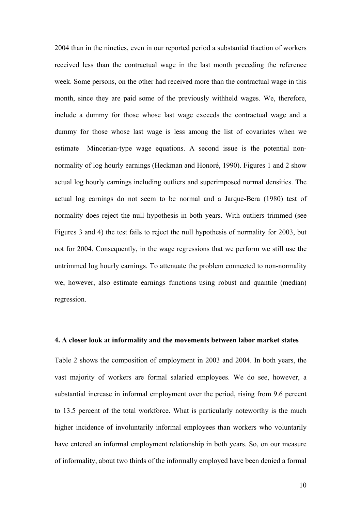2004 than in the nineties, even in our reported period a substantial fraction of workers received less than the contractual wage in the last month preceding the reference week. Some persons, on the other had received more than the contractual wage in this month, since they are paid some of the previously withheld wages. We, therefore, include a dummy for those whose last wage exceeds the contractual wage and a dummy for those whose last wage is less among the list of covariates when we estimate Mincerian-type wage equations. A second issue is the potential nonnormality of log hourly earnings (Heckman and Honoré, 1990). Figures 1 and 2 show actual log hourly earnings including outliers and superimposed normal densities. The actual log earnings do not seem to be normal and a Jarque-Bera (1980) test of normality does reject the null hypothesis in both years. With outliers trimmed (see Figures 3 and 4) the test fails to reject the null hypothesis of normality for 2003, but not for 2004. Consequently, in the wage regressions that we perform we still use the untrimmed log hourly earnings. To attenuate the problem connected to non-normality we, however, also estimate earnings functions using robust and quantile (median) regression.

#### **4. A closer look at informality and the movements between labor market states**

Table 2 shows the composition of employment in 2003 and 2004. In both years, the vast majority of workers are formal salaried employees. We do see, however, a substantial increase in informal employment over the period, rising from 9.6 percent to 13.5 percent of the total workforce. What is particularly noteworthy is the much higher incidence of involuntarily informal employees than workers who voluntarily have entered an informal employment relationship in both years. So, on our measure of informality, about two thirds of the informally employed have been denied a formal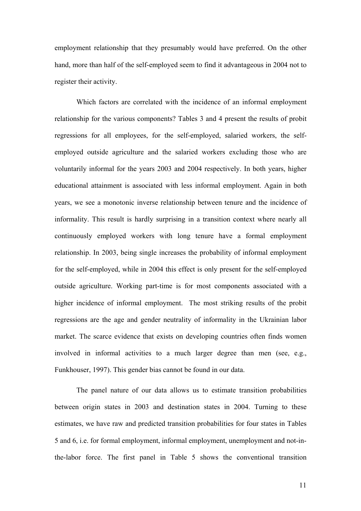employment relationship that they presumably would have preferred. On the other hand, more than half of the self-employed seem to find it advantageous in 2004 not to register their activity.

 Which factors are correlated with the incidence of an informal employment relationship for the various components? Tables 3 and 4 present the results of probit regressions for all employees, for the self-employed, salaried workers, the selfemployed outside agriculture and the salaried workers excluding those who are voluntarily informal for the years 2003 and 2004 respectively. In both years, higher educational attainment is associated with less informal employment. Again in both years, we see a monotonic inverse relationship between tenure and the incidence of informality. This result is hardly surprising in a transition context where nearly all continuously employed workers with long tenure have a formal employment relationship. In 2003, being single increases the probability of informal employment for the self-employed, while in 2004 this effect is only present for the self-employed outside agriculture. Working part-time is for most components associated with a higher incidence of informal employment. The most striking results of the probit regressions are the age and gender neutrality of informality in the Ukrainian labor market. The scarce evidence that exists on developing countries often finds women involved in informal activities to a much larger degree than men (see, e.g., Funkhouser, 1997). This gender bias cannot be found in our data.

 The panel nature of our data allows us to estimate transition probabilities between origin states in 2003 and destination states in 2004. Turning to these estimates, we have raw and predicted transition probabilities for four states in Tables 5 and 6, i.e. for formal employment, informal employment, unemployment and not-inthe-labor force. The first panel in Table 5 shows the conventional transition

11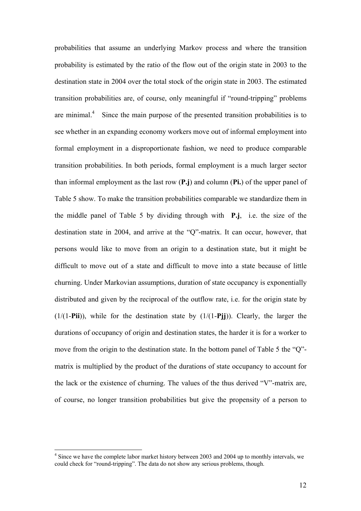probabilities that assume an underlying Markov process and where the transition probability is estimated by the ratio of the flow out of the origin state in 2003 to the destination state in 2004 over the total stock of the origin state in 2003. The estimated transition probabilities are, of course, only meaningful if "round-tripping" problems are minimal. $4$  Since the main purpose of the presented transition probabilities is to see whether in an expanding economy workers move out of informal employment into formal employment in a disproportionate fashion, we need to produce comparable transition probabilities. In both periods, formal employment is a much larger sector than informal employment as the last row (**P.j**) and column (**Pi.**) of the upper panel of Table 5 show. To make the transition probabilities comparable we standardize them in the middle panel of Table 5 by dividing through with **P.j**, i.e. the size of the destination state in 2004, and arrive at the "Q"-matrix. It can occur, however, that persons would like to move from an origin to a destination state, but it might be difficult to move out of a state and difficult to move into a state because of little churning. Under Markovian assumptions, duration of state occupancy is exponentially distributed and given by the reciprocal of the outflow rate, i.e. for the origin state by (1/(1-**Pii**)), while for the destination state by (1/(1-**Pjj**)). Clearly, the larger the durations of occupancy of origin and destination states, the harder it is for a worker to move from the origin to the destination state. In the bottom panel of Table 5 the "Q" matrix is multiplied by the product of the durations of state occupancy to account for the lack or the existence of churning. The values of the thus derived "V"-matrix are, of course, no longer transition probabilities but give the propensity of a person to

 $\overline{a}$ 

 $4$  Since we have the complete labor market history between 2003 and 2004 up to monthly intervals, we could check for "round-tripping". The data do not show any serious problems, though.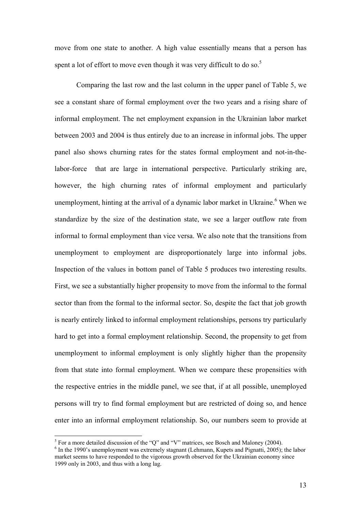move from one state to another. A high value essentially means that a person has spent a lot of effort to move even though it was very difficult to do so.<sup>5</sup>

 Comparing the last row and the last column in the upper panel of Table 5, we see a constant share of formal employment over the two years and a rising share of informal employment. The net employment expansion in the Ukrainian labor market between 2003 and 2004 is thus entirely due to an increase in informal jobs. The upper panel also shows churning rates for the states formal employment and not-in-thelabor-force that are large in international perspective. Particularly striking are, however, the high churning rates of informal employment and particularly unemployment, hinting at the arrival of a dynamic labor market in Ukraine.<sup>6</sup> When we standardize by the size of the destination state, we see a larger outflow rate from informal to formal employment than vice versa. We also note that the transitions from unemployment to employment are disproportionately large into informal jobs. Inspection of the values in bottom panel of Table 5 produces two interesting results. First, we see a substantially higher propensity to move from the informal to the formal sector than from the formal to the informal sector. So, despite the fact that job growth is nearly entirely linked to informal employment relationships, persons try particularly hard to get into a formal employment relationship. Second, the propensity to get from unemployment to informal employment is only slightly higher than the propensity from that state into formal employment. When we compare these propensities with the respective entries in the middle panel, we see that, if at all possible, unemployed persons will try to find formal employment but are restricted of doing so, and hence enter into an informal employment relationship. So, our numbers seem to provide at

<sup>&</sup>lt;sup>5</sup> For a more detailed discussion of the "Q" and "V" matrices, see Bosch and Maloney (2004).

 $6$  In the 1990's unemployment was extremely stagnant (Lehmann, Kupets and Pignatti, 2005); the labor market seems to have responded to the vigorous growth observed for the Ukrainian economy since 1999 only in 2003, and thus with a long lag.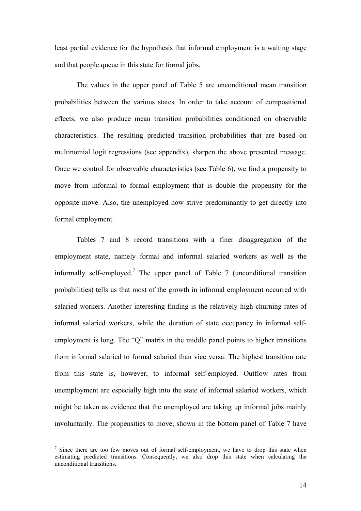least partial evidence for the hypothesis that informal employment is a waiting stage and that people queue in this state for formal jobs.

 The values in the upper panel of Table 5 are unconditional mean transition probabilities between the various states. In order to take account of compositional effects, we also produce mean transition probabilities conditioned on observable characteristics. The resulting predicted transition probabilities that are based on multinomial logit regressions (see appendix), sharpen the above presented message. Once we control for observable characteristics (see Table 6), we find a propensity to move from informal to formal employment that is double the propensity for the opposite move. Also, the unemployed now strive predominantly to get directly into formal employment.

 Tables 7 and 8 record transitions with a finer disaggregation of the employment state, namely formal and informal salaried workers as well as the informally self-employed.<sup>7</sup> The upper panel of Table 7 (unconditional transition probabilities) tells us that most of the growth in informal employment occurred with salaried workers. Another interesting finding is the relatively high churning rates of informal salaried workers, while the duration of state occupancy in informal selfemployment is long. The "Q" matrix in the middle panel points to higher transitions from informal salaried to formal salaried than vice versa. The highest transition rate from this state is, however, to informal self-employed. Outflow rates from unemployment are especially high into the state of informal salaried workers, which might be taken as evidence that the unemployed are taking up informal jobs mainly involuntarily. The propensities to move, shown in the bottom panel of Table 7 have

 $\overline{a}$ 

<sup>&</sup>lt;sup>7</sup> Since there are too few moves out of formal self-employment, we have to drop this state when estimating predicted transitions. Consequently, we also drop this state when calculating the unconditional transitions.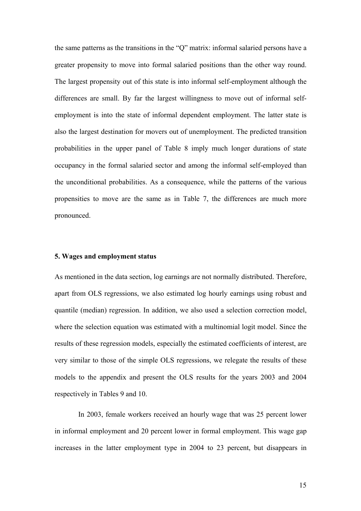the same patterns as the transitions in the "Q" matrix: informal salaried persons have a greater propensity to move into formal salaried positions than the other way round. The largest propensity out of this state is into informal self-employment although the differences are small. By far the largest willingness to move out of informal selfemployment is into the state of informal dependent employment. The latter state is also the largest destination for movers out of unemployment. The predicted transition probabilities in the upper panel of Table 8 imply much longer durations of state occupancy in the formal salaried sector and among the informal self-employed than the unconditional probabilities. As a consequence, while the patterns of the various propensities to move are the same as in Table 7, the differences are much more pronounced.

#### **5. Wages and employment status**

As mentioned in the data section, log earnings are not normally distributed. Therefore, apart from OLS regressions, we also estimated log hourly earnings using robust and quantile (median) regression. In addition, we also used a selection correction model, where the selection equation was estimated with a multinomial logit model. Since the results of these regression models, especially the estimated coefficients of interest, are very similar to those of the simple OLS regressions, we relegate the results of these models to the appendix and present the OLS results for the years 2003 and 2004 respectively in Tables 9 and 10.

 In 2003, female workers received an hourly wage that was 25 percent lower in informal employment and 20 percent lower in formal employment. This wage gap increases in the latter employment type in 2004 to 23 percent, but disappears in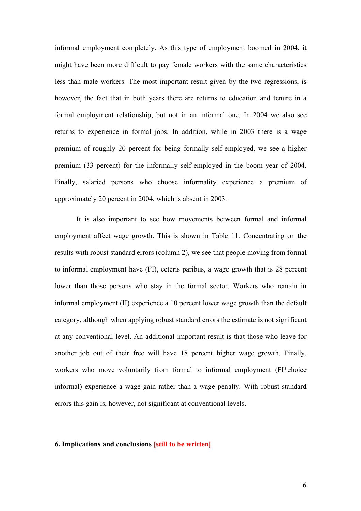informal employment completely. As this type of employment boomed in 2004, it might have been more difficult to pay female workers with the same characteristics less than male workers. The most important result given by the two regressions, is however, the fact that in both years there are returns to education and tenure in a formal employment relationship, but not in an informal one. In 2004 we also see returns to experience in formal jobs. In addition, while in 2003 there is a wage premium of roughly 20 percent for being formally self-employed, we see a higher premium (33 percent) for the informally self-employed in the boom year of 2004. Finally, salaried persons who choose informality experience a premium of approximately 20 percent in 2004, which is absent in 2003.

 It is also important to see how movements between formal and informal employment affect wage growth. This is shown in Table 11. Concentrating on the results with robust standard errors (column 2), we see that people moving from formal to informal employment have (FI), ceteris paribus, a wage growth that is 28 percent lower than those persons who stay in the formal sector. Workers who remain in informal employment (II) experience a 10 percent lower wage growth than the default category, although when applying robust standard errors the estimate is not significant at any conventional level. An additional important result is that those who leave for another job out of their free will have 18 percent higher wage growth. Finally, workers who move voluntarily from formal to informal employment (FI\*choice informal) experience a wage gain rather than a wage penalty. With robust standard errors this gain is, however, not significant at conventional levels.

#### **6. Implications and conclusions [still to be written]**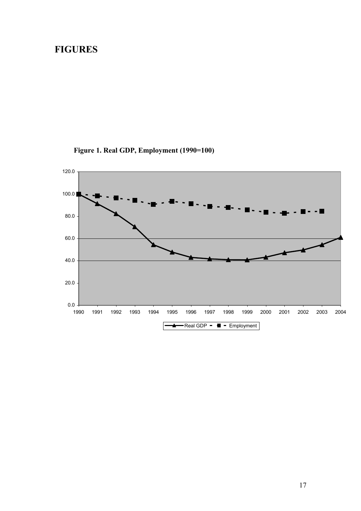## **FIGURES**



**Figure 1. Real GDP, Employment (1990=100)**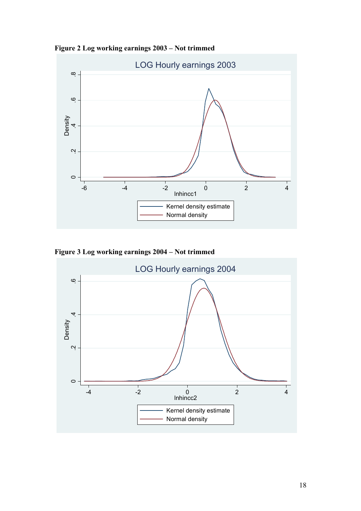**Figure 2 Log working earnings 2003 – Not trimmed** 



**Figure 3 Log working earnings 2004 – Not trimmed**

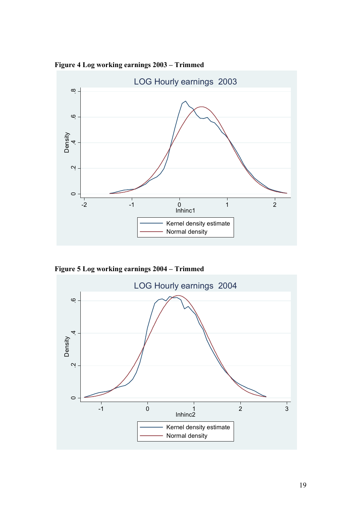

**Figure 4 Log working earnings 2003 – Trimmed**

**Figure 5 Log working earnings 2004 – Trimmed**

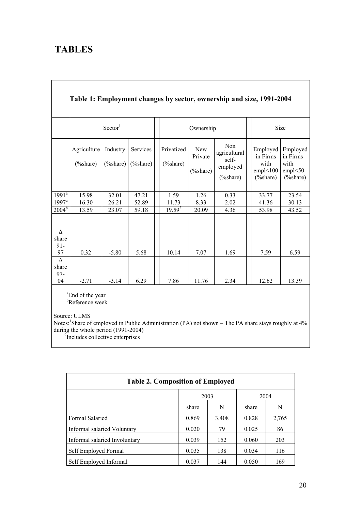# **TABLES**

|                             | Table 1: Employment changes by sector, ownership and size, 1991-2004 |                          |                          |  |                            |                                       |                                                          |  |                                                      |                                                       |
|-----------------------------|----------------------------------------------------------------------|--------------------------|--------------------------|--|----------------------------|---------------------------------------|----------------------------------------------------------|--|------------------------------------------------------|-------------------------------------------------------|
|                             | Sector <sup>1</sup>                                                  |                          |                          |  | Ownership                  |                                       |                                                          |  | Size                                                 |                                                       |
|                             | Agriculture<br>$(\% share)$                                          | Industry<br>$(\% share)$ | Services<br>$(\% share)$ |  | Privatized<br>$(\% share)$ | <b>New</b><br>Private<br>$(\% share)$ | Non<br>agricultural<br>self-<br>employed<br>$(\% share)$ |  | Employed<br>in Firms<br>with<br>empl<100<br>(%share) | Employed<br>in Firms<br>with<br>empl < 50<br>(%share) |
| $1991^{\overline{a}}$       | 15.98                                                                | 32.01                    | 47.21                    |  | 1.59                       | 1.26                                  | 0.33                                                     |  | 33.77                                                | 23.54                                                 |
| $1997^{\text{a}}$           | 16.30                                                                | 26.21                    | 52.89                    |  | 11.73                      | 8.33                                  | 2.02                                                     |  | 41.36                                                | 30.13                                                 |
| $2004^b$                    | 13.59                                                                | 23.07                    | 59.18                    |  | $19.59^{2}$                | 20.09                                 | 4.36                                                     |  | 53.98                                                | 43.52                                                 |
|                             |                                                                      |                          |                          |  |                            |                                       |                                                          |  |                                                      |                                                       |
|                             |                                                                      |                          |                          |  |                            |                                       |                                                          |  |                                                      |                                                       |
| Δ<br>share<br>$91 -$<br>97  | 0.32                                                                 | $-5.80$                  | 5.68                     |  | 10.14                      | 7.07                                  | 1.69                                                     |  | 7.59                                                 | 6.59                                                  |
| $\Delta$<br>share<br>$97 -$ |                                                                      |                          |                          |  |                            |                                       |                                                          |  |                                                      |                                                       |
| 04                          | $-2.71$                                                              | $-3.14$                  | 6.29                     |  | 7.86                       | 11.76                                 | 2.34                                                     |  | 12.62                                                | 13.39                                                 |

<sup>a</sup>End of the year b Reference week

Source: ULMS

Notes:<sup>1</sup>Share of employed in Public Administration (PA) not shown – The PA share stays roughly at 4% during the whole period (1991-2004)<br><sup>2</sup>Includes collective enterprises

| <b>Table 2. Composition of Employed</b> |       |       |       |       |  |  |  |
|-----------------------------------------|-------|-------|-------|-------|--|--|--|
|                                         | 2003  |       | 2004  |       |  |  |  |
|                                         | share | N     | share | N     |  |  |  |
| <b>Formal Salaried</b>                  | 0.869 | 3,408 | 0.828 | 2,765 |  |  |  |
| Informal salaried Voluntary             | 0.020 | 79    | 0.025 | 86    |  |  |  |
| Informal salaried Involuntary           | 0.039 | 152   | 0.060 | 203   |  |  |  |
| Self Employed Formal                    | 0.035 | 138   | 0.034 | 116   |  |  |  |
| Self Employed Informal                  | 0.037 | 144   | 0.050 | 169   |  |  |  |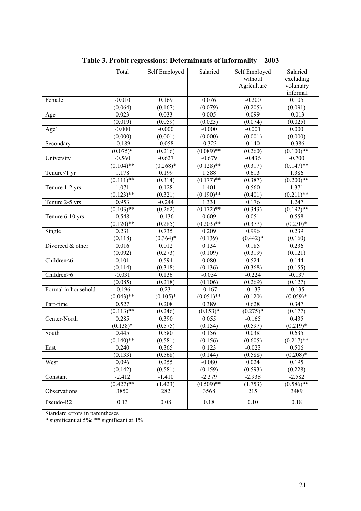|                     | Total        | Self Employed | Salaried           | Self Employed<br>without<br>Agriculture | Salaried<br>excluding<br>voluntary |
|---------------------|--------------|---------------|--------------------|-----------------------------------------|------------------------------------|
|                     |              |               |                    |                                         | informal                           |
| Female              | $-0.010$     | 0.169         | 0.076              | $-0.200$                                | 0.105                              |
|                     | (0.064)      | (0.167)       | (0.079)            | (0.205)                                 | (0.091)                            |
| Age                 | 0.023        | 0.033         | 0.005              | 0.099                                   | $-0.013$                           |
|                     | (0.019)      | (0.059)       | (0.023)            | (0.074)                                 | (0.025)                            |
| Age <sup>2</sup>    | $-0.000$     | $-0.000$      | $-0.000$           | $-0.001$                                | 0.000                              |
|                     | (0.000)      | (0.001)       | (0.000)            | (0.001)                                 | (0.000)                            |
| Secondary           | $-0.189$     | $-0.058$      | $-0.323$           | 0.140                                   | $-0.386$                           |
|                     | $(0.075)*$   | (0.216)       | $(0.089)$ **       | (0.260)                                 | $(0.100)$ **                       |
| University          | $-0.560$     | $-0.627$      | $-0.679$           | $-0.436$                                | $-0.700$                           |
|                     | $(0.104)$ ** | $(0.268)*$    | $(0.128)$ **       | (0.317)                                 | $(0.147)$ **                       |
| Tenure<1 yr         | 1.178        | 0.199         | 1.588              | 0.613                                   | 1.386                              |
|                     | $(0.111)$ ** | (0.314)       | $(0.177)$ **       | (0.387)                                 | $(0.200)$ **                       |
| Tenure 1-2 yrs      | 1.071        | 0.128         | 1.401              | 0.560                                   | 1.371                              |
|                     | $(0.123)$ ** | (0.321)       | $\sqrt{(0.190)**}$ | (0.401)                                 | $(0.211)$ **                       |
| Tenure 2-5 yrs      | 0.953        | $-0.244$      | 1.331              | 0.176                                   | 1.247                              |
|                     | $(0.103)$ ** | (0.262)       | $(0.172)$ **       | (0.343)                                 | $(0.192)$ **                       |
| Tenure 6-10 yrs     | 0.548        | $-0.136$      | 0.609              | 0.051                                   | 0.558                              |
|                     | $(0.120)$ ** | (0.285)       | $(0.203)$ **       | (0.377)                                 | $(0.230)*$                         |
| Single              | 0.231        | 0.735         | 0.209              | 0.996                                   | 0.239                              |
|                     | (0.118)      | $(0.364)*$    | (0.139)            | $(0.442)*$                              | (0.160)                            |
| Divorced & other    | 0.016        | 0.012         | 0.134              | 0.185                                   | 0.236                              |
|                     | (0.092)      | (0.273)       | (0.109)            | (0.319)                                 | (0.121)                            |
| Children<6          | 0.101        | 0.594         | 0.080              | 0.524                                   | 0.144                              |
|                     | (0.114)      | (0.318)       | (0.136)            | (0.368)                                 | (0.155)                            |
| Children>6          | $-0.031$     | 0.136         | $-0.034$           | $-0.224$                                | $-0.137$                           |
|                     | (0.085)      | (0.218)       | (0.106)            | (0.269)                                 | (0.127)                            |
| Formal in household | $-0.196$     | $-0.231$      | $-0.167$           | $-0.133$                                | $-0.135$                           |
|                     | $(0.043)$ ** | $(0.105)*$    | $(0.051)$ **       | (0.120)                                 | $(0.059)*$                         |
| Part-time           | 0.527        | 0.208         | 0.389              | 0.628                                   | 0.347                              |
|                     | $(0.113)$ ** | (0.246)       | $(0.153)*$         | $(0.275)*$                              | (0.177)                            |
| Center-North        | 0.285        | 0.390         | 0.055              | $-0.165$                                | 0.435                              |
|                     | $(0.138)*$   | (0.575)       | (0.154)            | (0.597)                                 | $(0.219)*$                         |
| South               | 0.445        | 0.580         | 0.156              | 0.038                                   | 0.635                              |
|                     | $(0.140)$ ** | (0.581)       | (0.156)            | (0.605)                                 | $(0.217)$ **                       |
| East                | 0.240        | 0.365         | 0.123              | $-0.023$                                | 0.506                              |
|                     | (0.133)      | (0.568)       | (0.144)            | (0.588)                                 | $(0.208)*$                         |
| West                | 0.096        | 0.255         | $-0.080$           | 0.024                                   | 0.195                              |
|                     | (0.142)      | (0.581)       | (0.159)            | (0.593)                                 | (0.228)                            |
| Constant            | $-2.412$     | $-1.410$      | $-2.379$           | $-2.938$                                | $-2.582$                           |
|                     | $(0.427)$ ** | (1.423)       | $(0.509)$ **       | (1.753)                                 | $(0.586)$ **                       |
| Observations        | 3850         | 282           | 3568               | 215                                     | 3489                               |
| Pseudo-R2           | 0.13         | 0.08          | 0.18               | 0.10                                    | 0.18                               |

\* significant at 5%; \*\* significant at 1%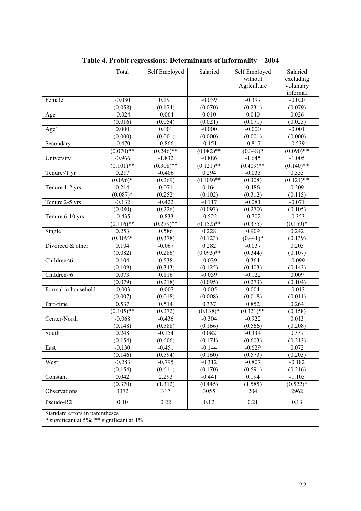|                     | Total        | Self Employed | Salaried     | Self Employed<br>without<br>Agriculture | Salaried<br>excluding<br>voluntary<br>informal |
|---------------------|--------------|---------------|--------------|-----------------------------------------|------------------------------------------------|
| Female              | $-0.030$     | 0.191         | $-0.059$     | $-0.397$                                | $-0.020$                                       |
|                     | (0.058)      | (0.174)       | (0.070)      | (0.231)                                 | (0.079)                                        |
| Age                 | $-0.024$     | $-0.064$      | 0.010        | 0.040                                   | 0.026                                          |
|                     | (0.016)      | (0.054)       | (0.021)      | (0.071)                                 | (0.025)                                        |
| Age <sup>2</sup>    | 0.000        | 0.001         | $-0.000$     | $-0.000$                                | $-0.001$                                       |
|                     | (0.000)      | (0.001)       | (0.000)      | (0.001)                                 | (0.000)                                        |
| Secondary           | $-0.470$     | $-0.866$      | $-0.451$     | $-0.817$                                | $-0.539$                                       |
|                     | $(0.070)$ ** | $(0.246)$ **  | $(0.082)$ ** | $(0.348)*$                              | $(0.090)$ **                                   |
| University          | $-0.966$     | $-1.832$      | $-0.886$     | $-1.645$                                | $-1.005$                                       |
|                     | $(0.101)$ ** | $(0.308)$ **  | $(0.121)$ ** | $(0.\overline{409})$ **                 | $(0.140)$ **                                   |
| Tenure<1 yr         | 0.217        | $-0.406$      | 0.294        | $-0.033$                                | 0.355                                          |
|                     | $(0.096)*$   | (0.269)       | $(0.109)$ ** | (0.308)                                 | $(0.121)$ **                                   |
| Tenure 1-2 yrs      | 0.214        | 0.071         | 0.164        | 0.486                                   | 0.209                                          |
|                     | $(0.087)*$   | (0.252)       | (0.102)      | (0.312)                                 | (0.115)                                        |
| Tenure 2-5 yrs      | $-0.132$     | $-0.422$      | $-0.117$     | $-0.081$                                | $-0.071$                                       |
|                     | (0.080)      | (0.226)       | (0.093)      | (0.270)                                 | (0.105)                                        |
| Tenure 6-10 yrs     | $-0.435$     | $-0.833$      | $-0.522$     | $-0.702$                                | $-0.353$                                       |
|                     | $(0.116)$ ** | $(0.279)$ **  | $(0.152)$ ** | (0.375)                                 | $(0.159)*$                                     |
| Single              | 0.253        | 0.586         | 0.228        | 0.909                                   | 0.242                                          |
|                     | $(0.109)*$   | (0.378)       | (0.123)      | $(0.441)*$                              | (0.139)                                        |
| Divorced & other    | 0.104        | $-0.067$      | 0.282        | $-0.037$                                | 0.205                                          |
|                     | (0.082)      | (0.286)       | $(0.093)$ ** | (0.344)                                 | (0.107)                                        |
| Children<6          | 0.104        | 0.538         | $-0.039$     | 0.364                                   | $-0.099$                                       |
|                     | (0.109)      | (0.343)       | (0.125)      | (0.403)                                 | (0.143)                                        |
| Children>6          | 0.073        | 0.116         | $-0.059$     | $-0.122$                                | 0.009                                          |
|                     | (0.079)      | (0.218)       | (0.095)      | (0.273)                                 | (0.104)                                        |
| Formal in household | $-0.003$     | $-0.007$      | $-0.005$     | 0.004                                   | $-0.013$                                       |
|                     | (0.007)      | (0.018)       | (0.008)      | (0.018)                                 | (0.011)                                        |
| Part-time           | 0.537        | 0.514         | 0.337        | 0.852                                   | 0.264                                          |
|                     | $(0.105)$ ** | (0.272)       | $(0.138)*$   | $(0.321)$ **                            | (0.158)                                        |
| Center-North        | $-0.068$     | $-0.436$      | $-0.304$     | $-0.922$                                | 0.013                                          |
|                     | (0.148)      | (0.588)       | (0.166)      | (0.566)                                 | (0.208)                                        |
| South               | 0.248        | $-0.154$      | 0.082        | $-0.334$                                | 0.337                                          |
|                     | (0.154)      | (0.606)       | (0.171)      | (0.603)                                 | (0.213)                                        |
| East                | $-0.130$     | $-0.451$      | $-0.144$     | $-0.629$                                | 0.072                                          |
|                     | (0.146)      | (0.594)       | (0.160)      | (0.573)                                 | (0.203)                                        |
| West                | $-0.283$     | $-0.795$      | $-0.312$     | $-0.807$                                | $-0.182$                                       |
|                     | (0.154)      | (0.611)       | (0.170)      | (0.591)                                 | (0.216)                                        |
| Constant            | 0.042        | 2.293         | $-0.441$     | 0.194                                   | $-1.105$                                       |
|                     | (0.370)      | (1.312)       | (0.445)      | (1.585)                                 | $(0.522)*$                                     |
| Observations        | 3372         | 317           | 3055         | 204                                     | 2962                                           |
|                     |              |               |              |                                         |                                                |
| Pseudo-R2           | 0.10         | 0.22          | 0.12         | 0.21                                    | 0.13                                           |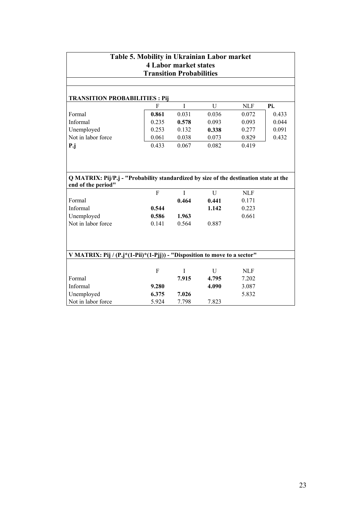| Table 5. Mobility in Ukrainian Labor market<br><b>4 Labor market states</b>           |                |             |              |            |       |  |  |
|---------------------------------------------------------------------------------------|----------------|-------------|--------------|------------|-------|--|--|
| <b>Transition Probabilities</b>                                                       |                |             |              |            |       |  |  |
|                                                                                       |                |             |              |            |       |  |  |
| <b>TRANSITION PROBABILITIES: Pij</b>                                                  |                |             |              |            |       |  |  |
|                                                                                       | F              | I           | $\mathbf{U}$ | <b>NLF</b> | Pi.   |  |  |
| Formal                                                                                | 0.861          | 0.031       | 0.036        | 0.072      | 0.433 |  |  |
| Informal                                                                              | 0.235          | 0.578       | 0.093        | 0.093      | 0.044 |  |  |
| Unemployed                                                                            | 0.253          | 0.132       | 0.338        | 0.277      | 0.091 |  |  |
| Not in labor force                                                                    | 0.061          | 0.038       | 0.073        | 0.829      | 0.432 |  |  |
| P.j                                                                                   | 0.433          | 0.067       | 0.082        | 0.419      |       |  |  |
|                                                                                       |                |             |              |            |       |  |  |
|                                                                                       |                |             |              |            |       |  |  |
|                                                                                       |                |             |              |            |       |  |  |
| Q MATRIX: Pij/P.j - "Probability standardized by size of the destination state at the |                |             |              |            |       |  |  |
| end of the period"                                                                    |                |             |              |            |       |  |  |
|                                                                                       | $\overline{F}$ | $\mathbf I$ | $\mathbf U$  | <b>NLF</b> |       |  |  |
| Formal                                                                                |                | 0.464       | 0.441        | 0.171      |       |  |  |
| Informal                                                                              | 0.544          |             | 1.142        | 0.223      |       |  |  |
| Unemployed                                                                            | 0.586          | 1.963       |              | 0.661      |       |  |  |
| Not in labor force                                                                    | 0.141          | 0.564       | 0.887        |            |       |  |  |
|                                                                                       |                |             |              |            |       |  |  |
|                                                                                       |                |             |              |            |       |  |  |
|                                                                                       |                |             |              |            |       |  |  |
| V MATRIX: Pij / (P.j*(1-Pii)*(1-Pjj)) - "Disposition to move to a sector"             |                |             |              |            |       |  |  |
|                                                                                       |                |             |              |            |       |  |  |
|                                                                                       | F              | I           | U            | <b>NLF</b> |       |  |  |
| Formal                                                                                |                | 7.915       | 4.795        | 7.202      |       |  |  |
| Informal                                                                              | 9.280          |             | 4.090        | 3.087      |       |  |  |
| Unemployed                                                                            | 6.375          | 7.026       |              | 5.832      |       |  |  |
| Not in labor force                                                                    | 5.924          | 7.798       | 7.823        |            |       |  |  |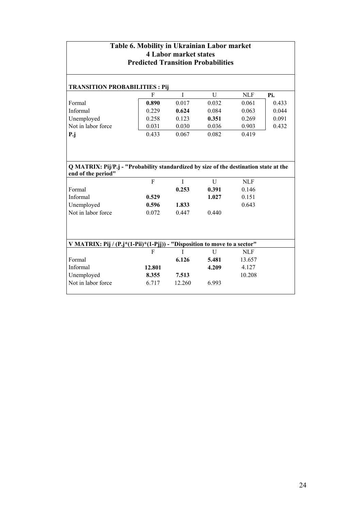| Table 6. Mobility in Ukrainian Labor market<br><b>4 Labor market states</b><br><b>Predicted Transition Probabilities</b>          |                         |                      |                     |                              |       |  |  |  |  |
|-----------------------------------------------------------------------------------------------------------------------------------|-------------------------|----------------------|---------------------|------------------------------|-------|--|--|--|--|
| <b>TRANSITION PROBABILITIES: Pij</b>                                                                                              |                         |                      |                     |                              |       |  |  |  |  |
|                                                                                                                                   | F                       | I                    | U                   | <b>NLF</b>                   | Pi.   |  |  |  |  |
| Formal                                                                                                                            | 0.890                   | 0.017                | 0.032               | 0.061                        | 0.433 |  |  |  |  |
| Informal                                                                                                                          | 0.229                   | 0.624                | 0.084               | 0.063                        | 0.044 |  |  |  |  |
| Unemployed                                                                                                                        | 0.258                   | 0.123                | 0.351               | 0.269                        | 0.091 |  |  |  |  |
| Not in labor force                                                                                                                | 0.031                   | 0.030                | 0.036               | 0.903                        | 0.432 |  |  |  |  |
| $P_{\cdot j}$                                                                                                                     | 0.433                   | 0.067                | 0.082               | 0.419                        |       |  |  |  |  |
| Q MATRIX: Pij/P.j - "Probability standardized by size of the destination state at the<br>end of the period"<br>Formal<br>Informal | $\overline{F}$<br>0.529 | $\mathbf I$<br>0.253 | U<br>0.391<br>1.027 | <b>NLF</b><br>0.146<br>0.151 |       |  |  |  |  |
| Unemployed                                                                                                                        | 0.596                   | 1.833                |                     | 0.643                        |       |  |  |  |  |
| Not in labor force                                                                                                                | 0.072                   | 0.447                | 0.440               |                              |       |  |  |  |  |
| V MATRIX: Pij / (P.j*(1-Pii)*(1-Pjj)) - "Disposition to move to a sector"                                                         |                         |                      |                     |                              |       |  |  |  |  |
|                                                                                                                                   | F                       | T                    | $\overline{U}$      | <b>NLF</b>                   |       |  |  |  |  |
| Formal                                                                                                                            |                         | 6.126                | 5.481               | 13.657                       |       |  |  |  |  |
| Informal                                                                                                                          | 12.801                  |                      | 4.209               | 4.127                        |       |  |  |  |  |
| Unemployed                                                                                                                        | 8.355                   | 7.513                |                     | 10.208                       |       |  |  |  |  |
| Not in labor force                                                                                                                | 6.717                   | 12.260               | 6.993               |                              |       |  |  |  |  |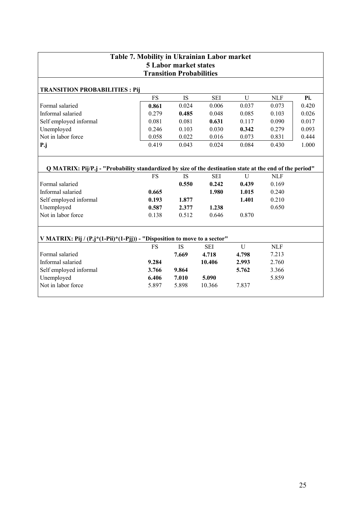| Table 7. Mobility in Ukrainian Labor market                                                              |           |                                 |            |              |            |       |  |
|----------------------------------------------------------------------------------------------------------|-----------|---------------------------------|------------|--------------|------------|-------|--|
| <b>5 Labor market states</b>                                                                             |           |                                 |            |              |            |       |  |
|                                                                                                          |           | <b>Transition Probabilities</b> |            |              |            |       |  |
| <b>TRANSITION PROBABILITIES : Pij</b>                                                                    |           |                                 |            |              |            |       |  |
|                                                                                                          | <b>FS</b> | <b>IS</b>                       | <b>SEI</b> | U            | <b>NLF</b> | Pi.   |  |
| Formal salaried                                                                                          | 0.861     | 0.024                           | 0.006      | 0.037        | 0.073      | 0.420 |  |
| Informal salaried                                                                                        | 0.279     | 0.485                           | 0.048      | 0.085        | 0.103      | 0.026 |  |
| Self employed informal                                                                                   | 0.081     | 0.081                           | 0.631      | 0.117        | 0.090      | 0.017 |  |
| Unemployed                                                                                               | 0.246     | 0.103                           | 0.030      | 0.342        | 0.279      | 0.093 |  |
| Not in labor force                                                                                       | 0.058     | 0.022                           | 0.016      | 0.073        | 0.831      | 0.444 |  |
| $P_{\cdot}j$                                                                                             | 0.419     | 0.043                           | 0.024      | 0.084        | 0.430      | 1.000 |  |
|                                                                                                          |           |                                 |            |              |            |       |  |
| Q MATRIX: Pij/P.j - "Probability standardized by size of the destination state at the end of the period" |           |                                 |            |              |            |       |  |
|                                                                                                          | <b>FS</b> | <b>IS</b>                       | <b>SEI</b> | $\mathbf{U}$ | <b>NLF</b> |       |  |
| Formal salaried                                                                                          |           | 0.550                           | 0.242      | 0.439        | 0.169      |       |  |
| Informal salaried                                                                                        | 0.665     |                                 | 1.980      | 1.015        | 0.240      |       |  |
| Self employed informal                                                                                   | 0.193     | 1.877                           |            | 1.401        | 0.210      |       |  |
| Unemployed                                                                                               | 0.587     | 2.377                           | 1.238      |              | 0.650      |       |  |
| Not in labor force                                                                                       | 0.138     | 0.512                           | 0.646      | 0.870        |            |       |  |
|                                                                                                          |           |                                 |            |              |            |       |  |
| V MATRIX: Pij / (P.j*(1-Pii)*(1-Pjj)) - "Disposition to move to a sector"                                |           |                                 |            |              |            |       |  |
|                                                                                                          | FS        | <b>IS</b>                       | <b>SEI</b> | $\mathbf U$  | <b>NLF</b> |       |  |
| Formal salaried                                                                                          |           | 7.669                           | 4.718      | 4.798        | 7.213      |       |  |
| Informal salaried                                                                                        | 9.284     |                                 | 10.406     | 2.993        | 2.760      |       |  |
| Self employed informal                                                                                   | 3.766     | 9.864                           |            | 5.762        | 3.366      |       |  |
| Unemployed                                                                                               | 6.406     | 7.010                           | 5.090      |              | 5.859      |       |  |
| Not in labor force                                                                                       | 5.897     | 5.898                           | 10.366     | 7.837        |            |       |  |
|                                                                                                          |           |                                 |            |              |            |       |  |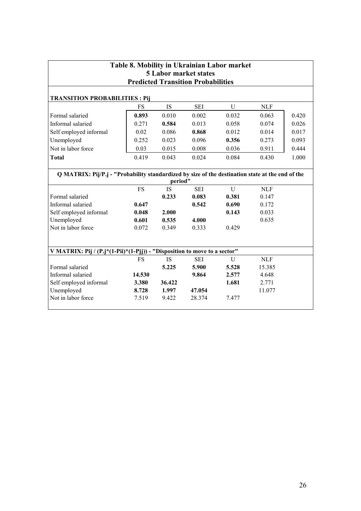| Table 8. Mobility in Ukrainian Labor market<br><b>5 Labor market states</b><br><b>Predicted Transition Probabilities</b> |           |           |            |       |            |       |  |
|--------------------------------------------------------------------------------------------------------------------------|-----------|-----------|------------|-------|------------|-------|--|
| <b>TRANSITION PROBABILITIES : Pij</b>                                                                                    |           |           |            |       |            |       |  |
|                                                                                                                          | <b>FS</b> | <b>IS</b> | <b>SEI</b> | U     | <b>NLF</b> |       |  |
| Formal salaried                                                                                                          | 0.893     | 0.010     | 0.002      | 0.032 | 0.063      | 0.420 |  |
| Informal salaried                                                                                                        | 0.271     | 0.584     | 0.013      | 0.058 | 0.074      | 0.026 |  |
| Self employed informal                                                                                                   | 0.02      | 0.086     | 0.868      | 0.012 | 0.014      | 0.017 |  |
| Unemployed                                                                                                               | 0.252     | 0.023     | 0.096      | 0.356 | 0.273      | 0.093 |  |
| Not in labor force                                                                                                       | 0.03      | 0.015     | 0.008      | 0.036 | 0.911      | 0.444 |  |
| <b>Total</b>                                                                                                             | 0.419     | 0.043     | 0.024      | 0.084 | 0.430      | 1.000 |  |
| Q MATRIX: Pij/P.j - "Probability standardized by size of the destination state at the end of the                         |           | period"   |            |       |            |       |  |
|                                                                                                                          | <b>FS</b> | <b>IS</b> | <b>SEI</b> | U     | <b>NLF</b> |       |  |
| Formal salaried                                                                                                          |           | 0.233     | 0.083      | 0.381 | 0.147      |       |  |
| Informal salaried                                                                                                        | 0.647     |           | 0.542      | 0.690 | 0.172      |       |  |
| Self employed informal                                                                                                   | 0.048     | 2.000     |            | 0.143 | 0.033      |       |  |
| Unemployed                                                                                                               | 0.601     | 0.535     | 4.000      |       | 0.635      |       |  |
| Not in labor force                                                                                                       | 0.072     | 0.349     | 0.333      | 0.429 |            |       |  |
| V MATRIX: Pij / (P.j*(1-Pii)*(1-Pjj)) - "Disposition to move to a sector"                                                |           |           |            |       |            |       |  |
|                                                                                                                          | FS        | <b>IS</b> | <b>SEI</b> | U     | <b>NLF</b> |       |  |
| Formal salaried                                                                                                          |           | 5.225     | 5.900      | 5.528 | 15.385     |       |  |
| Informal salaried                                                                                                        | 14.530    |           | 9.864      | 2.577 | 4.648      |       |  |
| Self employed informal                                                                                                   | 3.380     | 36.422    |            | 1.681 | 2.771      |       |  |
| Unemployed                                                                                                               | 8.728     | 1.997     | 47.054     |       | 11.077     |       |  |
| Not in labor force                                                                                                       | 7.519     | 9.422     | 28.374     | 7.477 |            |       |  |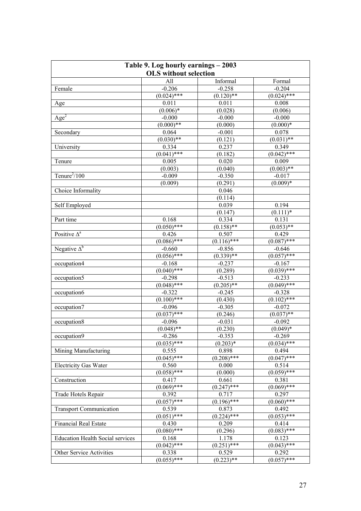| Table 9. Log hourly earnings - 2003     |                              |               |                    |  |  |  |
|-----------------------------------------|------------------------------|---------------|--------------------|--|--|--|
|                                         | <b>OLS</b> without selection |               |                    |  |  |  |
|                                         | All                          | Informal      | Formal             |  |  |  |
| Female                                  | $-0.206$                     | $-0.258$      | $-0.204$           |  |  |  |
|                                         | $(0.024)$ ***                | $(0.120)$ **  | $(0.024)$ ***      |  |  |  |
| Age                                     | 0.011                        | 0.011         | 0.008              |  |  |  |
|                                         | $(0.006)*$                   | (0.028)       | (0.006)            |  |  |  |
| $\overline{Age}^2$                      | $-0.000$                     | $-0.000$      | $-0.000$           |  |  |  |
|                                         | $(0.000)**$                  | (0.000)       | $(0.000)*$         |  |  |  |
| Secondary                               | 0.064                        | $-0.001$      | 0.078              |  |  |  |
|                                         | $(0.030)$ **                 | (0.121)       | $\sqrt{(0.031)**}$ |  |  |  |
| University                              | 0.334                        | 0.237         | 0.349              |  |  |  |
|                                         | $(0.041)$ ***                | (0.182)       | $(0.042)$ ***      |  |  |  |
| Tenure                                  | 0.005                        | 0.020         | 0.009              |  |  |  |
|                                         | (0.003)                      | (0.040)       | $(0.003)$ **       |  |  |  |
| Tenure $^{2}/100$                       | $-0.009$                     | $-0.350$      | $-0.017$           |  |  |  |
|                                         | (0.009)                      | (0.291)       | $(0.009)*$         |  |  |  |
| Choice Informality                      |                              | 0.046         |                    |  |  |  |
|                                         |                              | (0.114)       |                    |  |  |  |
| Self Employed                           |                              | 0.039         | 0.194              |  |  |  |
|                                         |                              | (0.147)       | $(0.111)^*$        |  |  |  |
| Part time                               | 0.168                        | 0.334         | 0.131              |  |  |  |
|                                         | $(0.050)$ ***                | $(0.158)$ **  | $(0.053)$ **       |  |  |  |
| Positive $\Delta^a$                     | 0.426                        | 0.507         | 0.429              |  |  |  |
|                                         | $(0.086)$ ***                | $(0.116)$ *** | $(0.087)$ ***      |  |  |  |
| Negative $\Delta^b$                     | $-0.660$                     | $-0.856$      | $-0.646$           |  |  |  |
|                                         | $(0.056)$ ***                | $(0.339)$ **  | $(0.057)$ ***      |  |  |  |
| occupation4                             | $-0.168$                     | $-0.237$      | $-0.167$           |  |  |  |
|                                         | $(0.040)$ ***                | (0.289)       | $(0.039)$ ***      |  |  |  |
| occupation5                             | $-0.298$                     | $-0.513$      | $-0.233$           |  |  |  |
|                                         | $(0.048)$ ***                | $(0.205)$ **  | $(0.049)$ ***      |  |  |  |
| occupation6                             | $-0.322$                     | $-0.245$      | $-0.328$           |  |  |  |
|                                         | $(0.100)$ ***                | (0.430)       | $(0.102)$ ***      |  |  |  |
| occupation7                             | $-0.096$                     | $-0.305$      | $-0.072$           |  |  |  |
|                                         | $(0.037)$ ***                | (0.246)       | $(0.037)$ **       |  |  |  |
| occupation8                             | $-0.096$                     | $-0.031$      | $-0.092$           |  |  |  |
|                                         | $(0.048)$ **                 | (0.230)       | $(0.049)*$         |  |  |  |
| occupation9                             | $-0.286$                     | $-0.353$      | $-0.269$           |  |  |  |
|                                         | $(0.035)$ ***                | $(0.203)*$    | $(0.034)$ ***      |  |  |  |
| Mining Manufacturing                    | 0.555                        | 0.898         | 0.494              |  |  |  |
|                                         | $(0.045)$ ***                | $(0.208)$ *** | $(0.047)$ ***      |  |  |  |
| <b>Electricity Gas Water</b>            | 0.560                        | 0.000         | 0.514              |  |  |  |
|                                         | $(0.058)$ ***                | (0.000)       | $(0.059)$ ***      |  |  |  |
| Construction                            | 0.417                        | 0.661         | 0.381              |  |  |  |
|                                         | $(0.069)$ ***                | $(0.247)$ *** | $(0.069)$ ***      |  |  |  |
| Trade Hotels Repair                     | 0.392                        | 0.717         | 0.297              |  |  |  |
|                                         | $(0.057)$ ***                | $(0.196)$ *** | $(0.060)$ ***      |  |  |  |
| <b>Transport Communication</b>          | 0.539                        | 0.873         | 0.492              |  |  |  |
|                                         | $(0.051)$ ***                | $(0.224)$ *** | $(0.053)$ ***      |  |  |  |
| <b>Financial Real Estate</b>            | 0.430                        | 0.209         | 0.414              |  |  |  |
|                                         | $(0.080)$ ***                | (0.296)       | $(0.083)$ ***      |  |  |  |
| <b>Education Health Social services</b> | 0.168                        | 1.178         | 0.123              |  |  |  |
|                                         | $(0.042)$ ***                | $(0.251)$ *** | $(0.043)***$       |  |  |  |
| Other Service Activities                | 0.338                        | 0.529         | 0.292              |  |  |  |
|                                         | $(0.055)$ ***                | $(0.223)$ **  | $(0.057)$ ***      |  |  |  |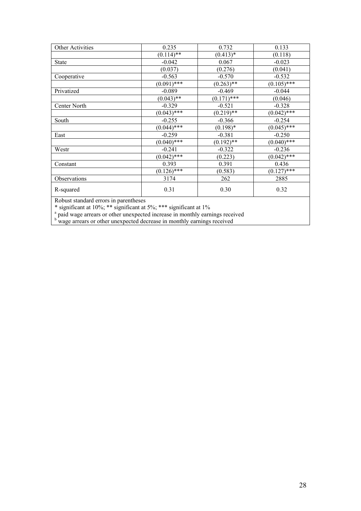| Other Activities                                            | 0.235         | 0.732         | 0.133         |
|-------------------------------------------------------------|---------------|---------------|---------------|
|                                                             | $(0.114)$ **  | $(0.413)*$    | (0.118)       |
| <b>State</b>                                                | $-0.042$      | 0.067         | $-0.023$      |
|                                                             | (0.037)       | (0.276)       | (0.041)       |
| Cooperative                                                 | $-0.563$      | $-0.570$      | $-0.532$      |
|                                                             | $(0.091)$ *** | $(0.263)$ **  | $(0.105)$ *** |
| Privatized                                                  | $-0.089$      | $-0.469$      | $-0.044$      |
|                                                             | $(0.043)$ **  | $(0.171)$ *** | (0.046)       |
| Center North                                                | $-0.329$      | $-0.521$      | $-0.328$      |
|                                                             | $(0.043)$ *** | $(0.219)$ **  | $(0.042)$ *** |
| South                                                       | $-0.255$      | $-0.366$      | $-0.254$      |
|                                                             | $(0.044)$ *** | $(0.198)*$    | $(0.045)$ *** |
| East                                                        | $-0.259$      | $-0.381$      | $-0.250$      |
|                                                             | $(0.040)$ *** | $(0.192)$ **  | $(0.040)$ *** |
| Westr                                                       | $-0.241$      | $-0.322$      | $-0.236$      |
|                                                             | $(0.042)$ *** | (0.223)       | $(0.042)$ *** |
| Constant                                                    | 0.393         | 0.391         | 0.436         |
|                                                             | $(0.126)$ *** | (0.583)       | $(0.127)$ *** |
| Observations                                                | 3174          | 262           | 2885          |
| R-squared                                                   | 0.31          | 0.30          | 0.32          |
| $\mathbf{D}$ 1 $\mathbf{L}$ 1 1 $\mathbf{L}$ 1 $\mathbf{L}$ | $\sim$ 1      |               |               |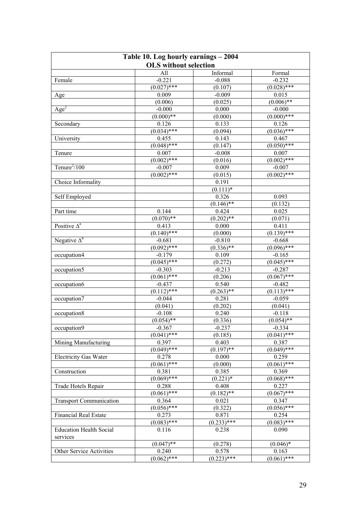| Table 10. Log hourly earnings - 2004 |                              |               |                     |  |  |  |  |
|--------------------------------------|------------------------------|---------------|---------------------|--|--|--|--|
|                                      | <b>OLS</b> without selection |               |                     |  |  |  |  |
|                                      | All                          | Informal      | Formal              |  |  |  |  |
| Female                               | $-0.221$                     | $-0.088$      | $-0.232$            |  |  |  |  |
|                                      | $(0.027)$ ***                | (0.107)       | $(0.028)$ ***       |  |  |  |  |
| Age                                  | 0.009                        | $-0.009$      | 0.015               |  |  |  |  |
|                                      | (0.006)                      | (0.025)       | $(0.006)$ **        |  |  |  |  |
| Age <sup>2</sup>                     | $-0.000$                     | 0.000         | $-0.000$            |  |  |  |  |
|                                      | $(0.000)**$                  | (0.000)       | $(0.000)$ ***       |  |  |  |  |
| Secondary                            | 0.126                        | 0.133         | 0.126               |  |  |  |  |
|                                      | $(0.034)$ ***                | (0.094)       | $(0.036)$ ***       |  |  |  |  |
| University                           | 0.455                        | 0.143         | 0.467               |  |  |  |  |
|                                      | $(0.048)$ ***                | (0.147)       | $(0.050)$ ***       |  |  |  |  |
| Tenure                               | 0.007                        | $-0.008$      | 0.007               |  |  |  |  |
|                                      | $(0.002)$ ***                | (0.016)       | $(0.002)$ ***       |  |  |  |  |
| Tenure $^{2}/100$                    | $-0.007$                     | 0.009         | $-0.007$            |  |  |  |  |
|                                      | $(0.002)$ ***                | (0.015)       | $(0.002)$ ***       |  |  |  |  |
| Choice Informality                   |                              | 0.191         |                     |  |  |  |  |
|                                      |                              | $(0.111)*$    |                     |  |  |  |  |
| Self Employed                        |                              | 0.326         | 0.093               |  |  |  |  |
|                                      |                              | $(0.146)$ **  | (0.132)             |  |  |  |  |
| Part time                            | 0.144                        | 0.424         | 0.025               |  |  |  |  |
|                                      | $(0.070)**$                  | $(0.202)$ **  | (0.071)             |  |  |  |  |
| Positive $\Delta^a$                  | 0.413                        | 0.000         | 0.411               |  |  |  |  |
|                                      | $(0.140)$ ***                | (0.000)       | $(0.139)$ ***       |  |  |  |  |
| Negative $\Delta^b$                  | $-0.681$                     | $-0.810$      | $-0.668$            |  |  |  |  |
|                                      | $(0.092)$ ***                | $(0.336)$ **  | $(0.096)$ ***       |  |  |  |  |
| occupation4                          | $-0.179$                     | 0.109         | $-0.165$            |  |  |  |  |
|                                      | $(0.045)$ ***                | (0.272)       | $(0.045)$ ***       |  |  |  |  |
| occupation5                          | $-0.303$                     | $-0.213$      | $-0.287$            |  |  |  |  |
|                                      | $(0.061)$ ***                | (0.206)       | $(0.067)$ ***       |  |  |  |  |
| occupation6                          | $-0.437$                     | 0.540         | $-0.482$            |  |  |  |  |
|                                      | $(0.1\overline{12})$ ***     | $(0.263)$ **  | $\sqrt{(0.113)***}$ |  |  |  |  |
| occupation7                          | $-0.044$                     | 0.281         | $-0.059$            |  |  |  |  |
|                                      | (0.041)                      | (0.202)       | (0.041)             |  |  |  |  |
| occupation8                          | $-0.108$                     | 0.240         | $-0.118$            |  |  |  |  |
|                                      | $(0.054)$ **                 | (0.336)       | $(0.054)$ **        |  |  |  |  |
| occupation9                          | $-0.367$                     | $-0.237$      | $-0.334$            |  |  |  |  |
|                                      | $(0.041)$ ***                | (0.185)       | $(0.041)$ ***       |  |  |  |  |
| Mining Manufacturing                 | 0.397                        | 0.403         | 0.387               |  |  |  |  |
|                                      | $(0.049)$ ***                | $(0.197)$ **  | $(0.049)$ ***       |  |  |  |  |
| <b>Electricity Gas Water</b>         | 0.278                        | 0.000         | 0.259               |  |  |  |  |
|                                      | $(0.061)$ ***                | (0.000)       | $(0.061)$ ***       |  |  |  |  |
| Construction                         | 0.381                        | 0.385         | 0.369               |  |  |  |  |
|                                      | $(0.069)$ ***                | $(0.221)*$    | $(0.068)$ ***       |  |  |  |  |
| Trade Hotels Repair                  | 0.288                        | 0.408         | 0.227               |  |  |  |  |
|                                      | $(0.061)$ ***                | $(0.182)$ **  | $(0.067)$ ***       |  |  |  |  |
| <b>Transport Communication</b>       | 0.364                        | 0.021         | 0.347               |  |  |  |  |
|                                      | $(0.056)$ ***                | (0.322)       | $(0.056)$ ***       |  |  |  |  |
| <b>Financial Real Estate</b>         | 0.273                        | 0.871         | 0.254               |  |  |  |  |
|                                      | $(0.083)$ ***                | $(0.233)$ *** | $(0.083)$ ***       |  |  |  |  |
| <b>Education Health Social</b>       | 0.116                        | 0.238         | 0.090               |  |  |  |  |
| services                             |                              |               |                     |  |  |  |  |
|                                      | $(0.047)$ **                 | (0.278)       | $(0.046)$ *         |  |  |  |  |
| Other Service Activities             | 0.240                        | 0.578         | 0.163               |  |  |  |  |
|                                      | $(0.062)$ ***                | $(0.223)$ *** | $(0.061)$ ***       |  |  |  |  |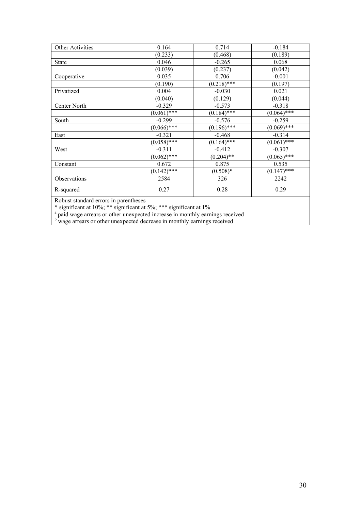| Other Activities                                      | 0.164         | 0.714         | $-0.184$      |
|-------------------------------------------------------|---------------|---------------|---------------|
|                                                       | (0.233)       | (0.468)       | (0.189)       |
| <b>State</b>                                          | 0.046         | $-0.265$      | 0.068         |
|                                                       | (0.039)       | (0.237)       | (0.042)       |
| Cooperative                                           | 0.035         | 0.706         | $-0.001$      |
|                                                       | (0.190)       | $(0.218)$ *** | (0.197)       |
| Privatized                                            | 0.004         | $-0.030$      | 0.021         |
|                                                       | (0.040)       | (0.129)       | (0.044)       |
| Center North                                          | $-0.329$      | $-0.573$      | $-0.318$      |
|                                                       | $(0.061)$ *** | $(0.184)$ *** | $(0.064)$ *** |
| South                                                 | $-0.299$      | $-0.576$      | $-0.259$      |
|                                                       | $(0.066)$ *** | $(0.196)$ *** | $(0.069)$ *** |
| East                                                  | $-0.321$      | $-0.468$      | $-0.314$      |
|                                                       | $(0.058)$ *** | $(0.164)$ *** | $(0.061)$ *** |
| West                                                  | $-0.311$      | $-0.412$      | $-0.307$      |
|                                                       | $(0.062)$ *** | $(0.204)$ **  | $(0.065)$ *** |
| Constant                                              | 0.672         | 0.875         | 0.535         |
|                                                       | $(0.142)$ *** | $(0.508)*$    | $(0.147)$ *** |
| Observations                                          | 2584          | 326           | 2242          |
| R-squared                                             | 0.27          | 0.28          | 0.29          |
| where the control of the con-<br>$\sim$ $\sim$ $\sim$ | $\sim$        |               |               |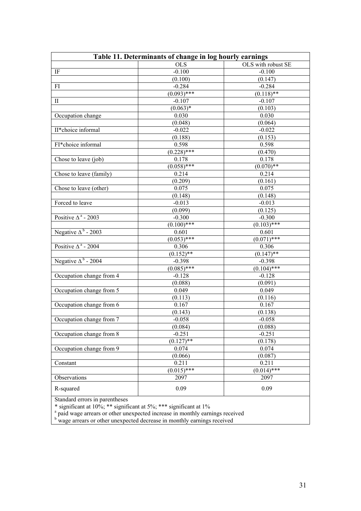| Table 11. Determinants of change in log hourly earnings |                     |                    |  |
|---------------------------------------------------------|---------------------|--------------------|--|
|                                                         | OLS                 | OLS with robust SE |  |
| $\rm IF$                                                | $-0.100$            | $-0.100$           |  |
|                                                         | (0.100)             | (0.147)            |  |
| FI                                                      | $-0.284$            | $-0.284$           |  |
|                                                         | $(0.093)$ ***       | $(0.118)$ **       |  |
| $\mathbf{I}$                                            | $-0.107$            | $-0.107$           |  |
|                                                         | $(0.063)*$          | (0.103)            |  |
| Occupation change                                       | 0.030               | 0.030              |  |
|                                                         | (0.048)             | (0.064)            |  |
| II*choice informal                                      | $-0.022$            | $-0.022$           |  |
|                                                         | (0.188)             | (0.153)            |  |
| FI*choice informal                                      | 0.598               | 0.598              |  |
|                                                         | $\sqrt{(0.228)$ *** | (0.470)            |  |
| Chose to leave (job)                                    | 0.178               | 0.178              |  |
|                                                         | $(0.058)$ ***       | $(0.070)**$        |  |
| Chose to leave (family)                                 | 0.214               | 0.214              |  |
|                                                         | (0.209)             | (0.161)            |  |
| Chose to leave (other)                                  | 0.075               | 0.075              |  |
|                                                         | (0.148)             | (0.148)            |  |
| Forced to leave                                         | $-0.013$            | $-0.013$           |  |
|                                                         | (0.099)             | (0.125)            |  |
| Positive $\Delta^a$ - 2003                              | $-0.300$            | $-0.300$           |  |
|                                                         | $(0.100)$ ***       | $(0.103)$ ***      |  |
| Negative $\Delta^b$ - 2003                              | 0.601               | 0.601              |  |
|                                                         | $(0.053)$ ***       | $(0.071)$ ***      |  |
| Positive $\Delta^a$ - 2004                              | 0.306               | 0.306              |  |
|                                                         | $(0.152)$ **        | $(0.147)$ **       |  |
| Negative $\Delta^b$ - 2004                              | $-0.398$            | $-0.398$           |  |
|                                                         | $(0.085)$ ***       | $(0.104)$ ***      |  |
| Occupation change from 4                                | $-0.128$            | $-0.128$           |  |
|                                                         | (0.088)             | (0.091)            |  |
| Occupation change from 5                                | 0.049               | 0.049              |  |
|                                                         | (0.113)             | (0.116)            |  |
| Occupation change from 6                                | 0.167               | 0.167              |  |
|                                                         | (0.143)             | (0.138)            |  |
| Occupation change from 7                                | $-0.058$            | $-0.058$           |  |
|                                                         | (0.084)             | (0.088)            |  |
| Occupation change from 8                                | $-0.251$            | $-0.251$           |  |
|                                                         | $(0.127)$ **        | (0.178)            |  |
| Occupation change from 9                                | 0.074               | 0.074              |  |
|                                                         | (0.066)             | (0.087)            |  |
| Constant                                                | 0.211               | 0.211              |  |
|                                                         | $(0.015)$ ***       | $(0.014)$ ***      |  |
| Observations                                            | 2097                | 2097               |  |
| R-squared                                               | 0.09                | 0.09               |  |
| Standard errors in parentheses                          |                     |                    |  |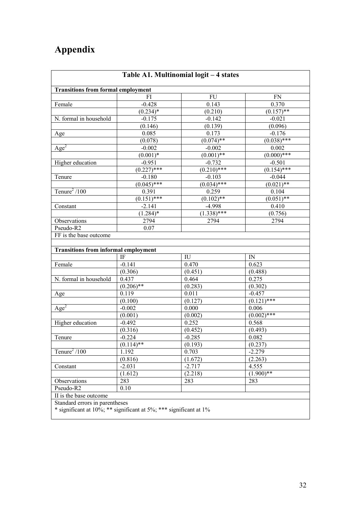# **Appendix**

| Table A1. Multinomial logit - 4 states                                                              |               |               |               |  |
|-----------------------------------------------------------------------------------------------------|---------------|---------------|---------------|--|
| <b>Transitions from formal employment</b>                                                           |               |               |               |  |
|                                                                                                     | FI            | FU            | <b>FN</b>     |  |
| Female                                                                                              | $-0.428$      | 0.143         | 0.370         |  |
|                                                                                                     | $(0.234)*$    | (0.210)       | $(0.157)$ **  |  |
| N. formal in household                                                                              | $-0.175$      | $-0.142$      | $-0.021$      |  |
|                                                                                                     | (0.146)       | (0.139)       | (0.096)       |  |
| Age                                                                                                 | 0.085         | 0.173         | $-0.176$      |  |
|                                                                                                     | (0.078)       | $(0.074)$ **  | $(0.038)$ *** |  |
| Age <sup>2</sup>                                                                                    | $-0.002$      | $-0.002$      | 0.002         |  |
|                                                                                                     | $(0.001)*$    | $(0.001)$ **  | $(0.000)$ *** |  |
| Higher education                                                                                    | $-0.951$      | $-0.732$      | $-0.501$      |  |
|                                                                                                     | $(0.227)$ *** | $(0.210)$ *** | $(0.154)$ *** |  |
| Tenure                                                                                              | $-0.180$      | $-0.103$      | $-0.044$      |  |
|                                                                                                     | $(0.045)$ *** | $(0.034)$ *** | $(0.021)$ **  |  |
| Tenure <sup>2</sup> /100                                                                            | 0.391         | 0.259         | 0.104         |  |
|                                                                                                     | $(0.151)$ *** | $(0.102)$ **  | $(0.051)$ **  |  |
| Constant                                                                                            | $-2.141$      | $-4.998$      | 0.410         |  |
|                                                                                                     | $(1.284)^*$   | $(1.338)$ *** | (0.756)       |  |
| Observations                                                                                        | 2794          | 2794          | 2794          |  |
| Pseudo-R2                                                                                           | 0.07          |               |               |  |
| FF is the base outcome                                                                              |               |               |               |  |
|                                                                                                     |               |               |               |  |
| <b>Transitions from informal employment</b>                                                         |               |               |               |  |
|                                                                                                     | IF            | IU            | IN            |  |
| Female                                                                                              | $-0.141$      | 0.470         | 0.623         |  |
|                                                                                                     | (0.306)       | (0.451)       | (0.488)       |  |
| N. formal in household                                                                              | 0.437         | 0.464         | 0.275         |  |
|                                                                                                     | $(0.206)$ **  | (0.283)       | (0.302)       |  |
| Age                                                                                                 | 0.119         | 0.011         | $-0.457$      |  |
|                                                                                                     | (0.100)       | (0.127)       | $(0.121)$ *** |  |
| Age <sup>2</sup>                                                                                    | $-0.002$      | 0.000         | 0.006         |  |
|                                                                                                     | (0.001)       | (0.002)       | $(0.002)$ *** |  |
| Higher education                                                                                    | $-0.492$      | 0.252         | 0.568         |  |
|                                                                                                     | (0.316)       | (0.452)       | (0.493)       |  |
| Tenure                                                                                              | $-0.224$      | $-0.285$      | 0.082         |  |
|                                                                                                     | $(0.114)$ **  | (0.193)       | (0.237)       |  |
| Tenure <sup>2</sup> /100                                                                            | 1.192         | 0.703         | $-2.279$      |  |
|                                                                                                     | (0.816)       | (1.672)       | (2.263)       |  |
| Constant                                                                                            | $-2.031$      | $-2.717$      | 4.555         |  |
|                                                                                                     | (1.612)       | (2.218)       | $(1.900)$ **  |  |
| Observations                                                                                        | 283           | 283           | 283           |  |
| Pseudo-R2                                                                                           | 0.10          |               |               |  |
| II is the base outcome                                                                              |               |               |               |  |
| Standard errors in parentheses<br>* significant at 10%; ** significant at 5%; *** significant at 1% |               |               |               |  |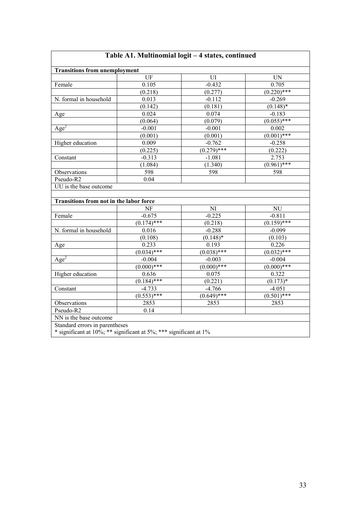| <b>Transitions from unemployment</b>                                        |                        |                     |                           |
|-----------------------------------------------------------------------------|------------------------|---------------------|---------------------------|
|                                                                             | $\overline{UF}$        | UI                  | <b>UN</b>                 |
| Female                                                                      | 0.105                  | $-0.432$            | 0.705                     |
|                                                                             | (0.218)                | (0.277)             | $(0.220)$ ***             |
| N. formal in household                                                      | 0.013                  | $-0.112$            | $-0.269$                  |
|                                                                             | (0.142)                | (0.181)             | $(0.148)$ *               |
| Age                                                                         | 0.024                  | 0.074               | $-0.183$                  |
|                                                                             | (0.064)                | (0.079)             | $(0.055)$ ***             |
| Age <sup>2</sup>                                                            | $-0.001$               | $-0.001$            | 0.002                     |
|                                                                             | (0.001)                | (0.001)             | $(0.001)$ ***             |
| Higher education                                                            | 0.009                  | $-0.762$            | $-0.258$                  |
|                                                                             | (0.225)                | $(0.279)$ ***       | (0.222)                   |
| Constant                                                                    | $-0.313$               | $-1.081$            | 2.753                     |
|                                                                             | (1.084)                | (1.340)             | $(0.961)$ ***             |
| Observations                                                                | 598                    | 598                 | 598                       |
|                                                                             |                        |                     |                           |
|                                                                             | 0.04                   |                     |                           |
| Pseudo-R2<br>UU is the base outcome                                         |                        |                     |                           |
|                                                                             |                        |                     |                           |
|                                                                             | NF                     | NI                  | $\mathrm{NU}$             |
|                                                                             | $-0.675$               | $-0.225$            | $-0.811$                  |
|                                                                             | $(0.174)$ ***<br>0.016 | (0.218)<br>$-0.288$ | $(0.159)$ ***<br>$-0.099$ |
| Transitions from not in the labor force<br>Female<br>N. formal in household | (0.108)                | $(0.148)$ *         | (0.103)                   |
|                                                                             | 0.233                  | 0.193               | 0.226                     |
|                                                                             | $(0.034)$ ***          | $(0.038)$ ***       | $(0.032)$ ***             |
|                                                                             | $-0.004$               | $-0.003$            | $-0.004$                  |
|                                                                             | $(0.000)***$           | $(0.000)$ ***       | $(0.000)$ ***             |
|                                                                             | 0.636                  | 0.075               | 0.322                     |
|                                                                             | $(0.184)$ ***          | (0.221)             | $(0.173)*$                |
|                                                                             | $-4.733$               | $-4.766$            | $-4.051$                  |
| Age<br>Age <sup>2</sup><br>Higher education<br>Constant                     | $(0.553)$ ***          | $(0.649)$ ***       | $(0.501)$ ***             |
| Observations                                                                | 2853                   | 2853                | 2853                      |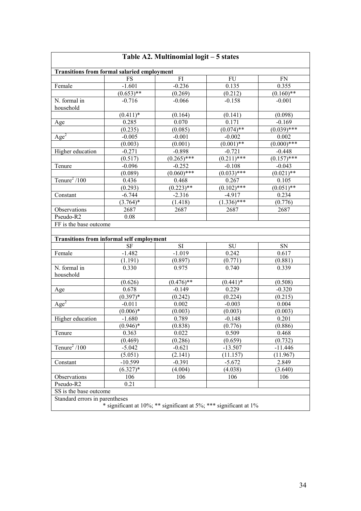| Table A2. Multinomial logit - 5 states             |                        |                                                                   |                     |                     |
|----------------------------------------------------|------------------------|-------------------------------------------------------------------|---------------------|---------------------|
| <b>Transitions from formal salaried employment</b> |                        |                                                                   |                     |                     |
|                                                    | <b>FS</b>              | FI                                                                | FU                  | <b>FN</b>           |
| Female                                             | $-1.601$               | $-0.236$                                                          | 0.135               | 0.355               |
|                                                    | $(0.653)$ **           | (0.269)                                                           | (0.212)             | $(0.160)$ **        |
| N. formal in                                       | $-0.716$               | $-0.066$                                                          | $-0.158$            | $-0.001$            |
| household                                          |                        |                                                                   |                     |                     |
|                                                    | $(0.411)*$             | (0.164)                                                           | (0.141)             | (0.098)             |
| Age                                                | 0.285                  | 0.070                                                             | 0.171               | $-0.169$            |
|                                                    | (0.235)                | (0.085)                                                           | $(0.074)$ **        | $\sqrt{(0.039)***}$ |
| $\overline{Age^2}$                                 | $-0.005$               | $-0.001$                                                          | $-0.002$            | 0.002               |
|                                                    | (0.003)                | (0.001)                                                           | $(0.001)$ **        | $(0.000)$ ***       |
| Higher education                                   | $-0.271$               | $-0.898$                                                          | $-0.721$            | $-0.448$            |
|                                                    | (0.517)                | $(0.265)$ ***                                                     | $(0.211)$ ***       | $\sqrt{(0.157)$ *** |
| Tenure                                             | $-0.096$               | $-0.252$                                                          | $-0.108$            | $-0.043$            |
|                                                    | (0.089)                | $(0.060)$ ***                                                     | $\sqrt{(0.033)***}$ | $(0.021)$ **        |
| Tenure <sup>2</sup> /100                           | 0.436                  | 0.468                                                             | 0.267               | 0.105               |
|                                                    | (0.293)                | $(0.223)$ **                                                      | $(0.102)$ ***       | $(0.051)$ **        |
| Constant                                           | $-6.744$               | $-2.316$                                                          | $-4.917$            | 0.234               |
|                                                    | $\overline{(3.764)}$ * | (1.418)                                                           | $(1.336)$ ***       | (0.776)             |
| Observations                                       | 2687                   | 2687                                                              | 2687                | 2687                |
| Pseudo-R2                                          | 0.08                   |                                                                   |                     |                     |
| FF is the base outcome                             |                        |                                                                   |                     |                     |
|                                                    |                        |                                                                   |                     |                     |
| <b>Transitions from informal self employment</b>   |                        |                                                                   |                     |                     |
|                                                    | <b>SF</b>              | SI                                                                | SU                  | SN                  |
| Female                                             | $-1.482$               | $-1.019$                                                          | 0.242               | 0.617               |
|                                                    | (1.191)                | (0.897)                                                           | (0.771)             | (0.881)             |
| N. formal in                                       | 0.330                  | 0.975                                                             | 0.740               | 0.339               |
| household                                          |                        |                                                                   |                     |                     |
|                                                    | (0.626)                | $(0.476)$ **                                                      | $(0.441)*$          | (0.508)             |
| Age                                                | 0.678                  | $-0.149$                                                          | 0.229               | $-0.320$            |
|                                                    | $(0.397)*$             | (0.242)                                                           | (0.224)             | (0.215)             |
| $\overline{Age}^2$                                 | $-0.011$               | 0.002                                                             | $-0.003$            | 0.004               |
|                                                    | $(0.006)*$             | (0.003)                                                           | (0.003)             | (0.003)             |
| Higher education                                   | $-1.680$               | 0.789                                                             | $-0.148$            | 0.201               |
|                                                    | $(0.946)*$             | (0.838)                                                           | (0.776)             | (0.886)             |
| Tenure                                             | 0.363                  | 0.022                                                             | 0.509               | 0.468               |
|                                                    | (0.469)                | (0.286)                                                           | (0.659)             | (0.732)             |
| Tenure <sup>2</sup> /100                           | $-5.042$               | $-0.621$                                                          | $-13.507$           | $-11.446$           |
|                                                    | (5.051)                | (2.141)                                                           | (11.157)            | (11.967)            |
| Constant                                           | $-10.599$              | $-0.391$                                                          | $-5.672$            | 2.849               |
|                                                    | $(6.327)^*$            | (4.004)                                                           | (4.038)             | (3.640)             |
| Observations                                       | 106                    | 106                                                               | 106                 | 106                 |
| Pseudo-R2                                          | 0.21                   |                                                                   |                     |                     |
| SS is the base outcome                             |                        |                                                                   |                     |                     |
| Standard errors in parentheses                     |                        |                                                                   |                     |                     |
|                                                    |                        | * significant at 10%; ** significant at 5%; *** significant at 1% |                     |                     |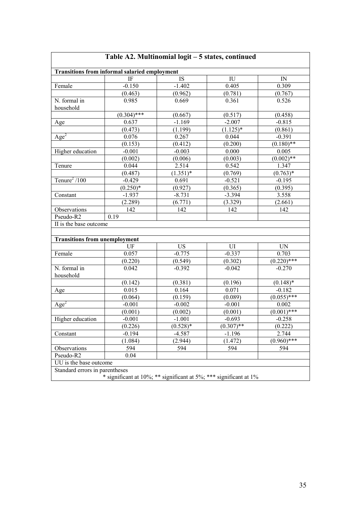|                                      | <b>Transitions from informal salaried employment</b> |             |                            |                          |
|--------------------------------------|------------------------------------------------------|-------------|----------------------------|--------------------------|
|                                      | IF                                                   | IS          | $\mathop{\rm IU}\nolimits$ | IN                       |
| Female                               | $-0.150$                                             | $-1.402$    | 0.405                      | 0.309                    |
|                                      | (0.463)                                              | (0.962)     | (0.781)                    | (0.767)                  |
| N. formal in                         | 0.985                                                | 0.669       | 0.361                      | 0.526                    |
| household                            |                                                      |             |                            |                          |
|                                      | $(0.304)$ ***                                        | (0.667)     | (0.517)                    | (0.458)                  |
| Age                                  | 0.637                                                | $-1.169$    | $-2.007$                   | $-0.815$                 |
|                                      | (0.473)                                              | (1.199)     | $(1.125)^*$                | (0.861)                  |
| $\overline{Age}^2$                   | 0.076                                                | 0.267       | 0.044                      | $-0.391$                 |
|                                      | (0.153)                                              | (0.412)     | (0.200)                    | $(0.180)$ **             |
| Higher education                     | $-0.001$                                             | $-0.003$    | 0.000                      | 0.005                    |
|                                      | (0.002)                                              | (0.006)     | (0.003)                    | $(0.002)$ **             |
| Tenure                               | 0.044                                                | 2.514       | 0.542                      | 1.347                    |
|                                      | (0.487)                                              | $(1.351)^*$ | (0.769)                    | $(0.763)*$               |
| Tenure <sup>2</sup> /100             | $-0.429$                                             | 0.691       | $-0.521$                   | $-0.195$                 |
|                                      | $(0.250)*$                                           | (0.927)     | (0.365)                    | (0.395)                  |
| Constant                             | $-1.937$                                             | $-8.731$    | $-3.394$                   | 3.558                    |
|                                      | (2.289)                                              | (6.771)     | (3.329)                    | (2.661)                  |
| Observations                         | 142                                                  | 142         | 142                        | 142                      |
| Pseudo-R2                            | 0.19                                                 |             |                            |                          |
| II is the base outcome               |                                                      |             |                            |                          |
|                                      |                                                      |             |                            |                          |
| <b>Transitions from unemployment</b> |                                                      |             |                            |                          |
|                                      | UF                                                   | US          | UI                         | UN                       |
| Female                               | 0.057                                                | $-0.775$    | $-0.337$                   | 0.703                    |
|                                      | (0.220)                                              | (0.549)     | (0.302)                    | $(0.220)$ ***            |
| N. formal in                         | 0.042                                                | $-0.392$    | $-0.042$                   | $-0.270$                 |
| household                            |                                                      |             |                            |                          |
|                                      | (0.142)                                              | (0.381)     | (0.196)                    | $(0.148)*$               |
| Age                                  | 0.015                                                | 0.164       | 0.071                      | $-0.182$                 |
|                                      | (0.064)                                              | (0.159)     | (0.089)                    | $(0.055)$ ***            |
| Age <sup>2</sup>                     | $-0.001$                                             | $-0.002$    | $-0.001$                   | 0.002                    |
|                                      | (0.001)                                              | (0.002)     | (0.001)                    | $(0.00\overline{1})$ *** |
| Higher education                     | $-0.001$                                             | $-1.001$    | $-0.693$                   | $-0.258$                 |
|                                      | (0.226)                                              | $(0.528)*$  | $\sqrt{(0.307) * *}$       | (0.222)                  |
| Constant                             | $-0.194$                                             | $-4.587$    | $-1.196$                   | 2.744                    |
|                                      | (1.084)                                              | (2.944)     | (1.472)                    | $(0.960)$ ***            |
| Observations                         | 594                                                  | 594         | 594                        | 594                      |
|                                      |                                                      |             |                            |                          |
| Pseudo-R2                            | 0.04                                                 |             |                            |                          |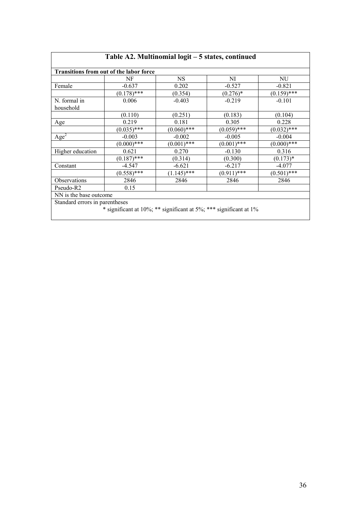|                                         |               | Table A2. Multinomial logit - 5 states, continued                 |               |               |
|-----------------------------------------|---------------|-------------------------------------------------------------------|---------------|---------------|
| Transitions from out of the labor force |               |                                                                   |               |               |
|                                         | NF            | <b>NS</b>                                                         | NI            | NU            |
| Female                                  | $-0.637$      | 0.202                                                             | $-0.527$      | $-0.821$      |
|                                         | $(0.178)$ *** | (0.354)                                                           | $(0.276)*$    | $(0.159)$ *** |
| N. formal in<br>household               | 0.006         | $-0.403$                                                          | $-0.219$      | $-0.101$      |
|                                         | (0.110)       | (0.251)                                                           | (0.183)       | (0.104)       |
| Age                                     | 0.219         | 0.181                                                             | 0.305         | 0.228         |
|                                         | $(0.035)$ *** | $(0.060)$ ***                                                     | $(0.059)$ *** | $(0.032)$ *** |
| $\triangle$ ge <sup>2</sup>             | $-0.003$      | $-0.002$                                                          | $-0.005$      | $-0.004$      |
|                                         | $(0.000)$ *** | $(0.001)$ ***                                                     | $(0.001)$ *** | $(0.000)$ *** |
| Higher education                        | 0.621         | 0.270                                                             | $-0.130$      | 0.316         |
|                                         | $(0.187)$ *** | (0.314)                                                           | (0.300)       | $(0.173)*$    |
| Constant                                | $-4.547$      | $-6.621$                                                          | $-6.217$      | $-4.077$      |
|                                         | $(0.558)$ *** | $(1.145)$ ***                                                     | $(0.911)$ *** | $(0.501)$ *** |
| Observations                            | 2846          | 2846                                                              | 2846          | 2846          |
| Pseudo-R2                               | 0.15          |                                                                   |               |               |
| NN is the base outcome                  |               |                                                                   |               |               |
| Standard errors in parentheses          |               | * significant at 10%; ** significant at 5%; *** significant at 1% |               |               |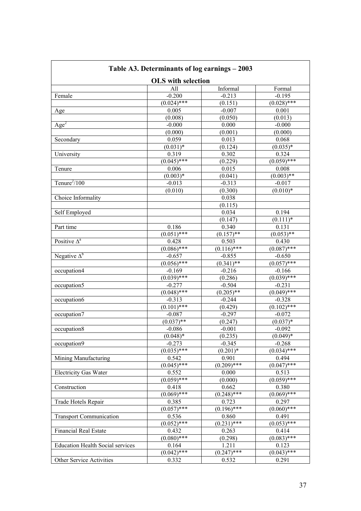| Table A3. Determinants of log earnings – 2003 |                           |               |               |  |
|-----------------------------------------------|---------------------------|---------------|---------------|--|
|                                               | <b>OLS</b> with selection |               |               |  |
|                                               | All                       | Informal      | Formal        |  |
| Female                                        | $-0.200$                  | $-0.213$      | $-0.195$      |  |
|                                               | $(0.024)$ ***             | (0.151)       | $(0.028)$ *** |  |
| Age                                           | 0.005                     | $-0.007$      | 0.001         |  |
|                                               | (0.008)                   | (0.050)       | (0.013)       |  |
| Age <sup>2</sup>                              | $-0.000$                  | 0.000         | $-0.000$      |  |
|                                               | (0.000)                   | (0.001)       | (0.000)       |  |
| Secondary                                     | 0.059                     | 0.013         | 0.068         |  |
|                                               | $(0.031)*$                | (0.124)       | $(0.035)*$    |  |
| University                                    | 0.319                     | 0.302         | 0.324         |  |
|                                               | $(0.045)$ ***             | (0.229)       | $(0.059)$ *** |  |
| Tenure                                        | 0.006                     | 0.015         | 0.008         |  |
|                                               | $(0.003)*$                | (0.041)       | $(0.003)$ **  |  |
| Tenure $^{2}/100$                             | $-0.013$                  | $-0.313$      | $-0.017$      |  |
|                                               | (0.010)                   | (0.300)       | $(0.010)*$    |  |
| Choice Informality                            |                           | 0.038         |               |  |
|                                               |                           | (0.115)       |               |  |
| Self Employed                                 |                           | 0.034         | 0.194         |  |
|                                               |                           | (0.147)       | $(0.111)*$    |  |
| Part time                                     | 0.186                     | 0.340         | 0.131         |  |
|                                               | $(0.051)$ ***             | $(0.157)$ **  | $(0.053)$ **  |  |
| Positive $\Delta^a$                           | 0.428                     | 0.503         | 0.430         |  |
|                                               | $(0.086)$ ***             | $(0.116)$ *** | $(0.087)$ *** |  |
| Negative $\Delta^b$                           | $-0.657$                  | $-0.855$      | $-0.650$      |  |
|                                               | $(0.056)$ ***             | $(0.341)$ **  | $(0.057)$ *** |  |
| occupation4                                   | $-0.169$                  | $-0.216$      | $-0.166$      |  |
|                                               | $(0.039)$ ***             | (0.286)       | $(0.039)$ *** |  |
| occupation5                                   | $-0.277$                  | $-0.504$      | $-0.231$      |  |
|                                               | $(0.048)$ ***             | $(0.205)$ **  | $(0.049)$ *** |  |
| occupation6                                   | $-0.313$                  | $-0.244$      | $-0.328$      |  |
|                                               | $(0.101)$ ***             | (0.429)       | $(0.102)$ *** |  |
| occupation7                                   | $-0.087$                  | $-0.297$      | $-0.072$      |  |
|                                               | $(0.037)$ **              | (0.247)       | $(0.037)*$    |  |
| occupation8                                   | $-0.086$                  | $-0.001$      | $-0.092$      |  |
|                                               |                           | (0.235)       |               |  |
|                                               | $(0.048)*$                |               | $(0.049)*$    |  |
| occupation9                                   | $-0.273$                  | $-0.345$      | $-0.268$      |  |
|                                               | $(0.035)$ ***             | $(0.201)*$    | $(0.034)$ *** |  |
| Mining Manufacturing                          | 0.542                     | 0.901         | 0.494         |  |
|                                               | $(0.045)$ ***             | $(0.209)$ *** | $(0.047)$ *** |  |
| <b>Electricity Gas Water</b>                  | 0.552                     | 0.000         | 0.513         |  |
|                                               | $(0.059)$ ***             | (0.000)       | $(0.059)$ *** |  |
| Construction                                  | 0.418                     | 0.662         | 0.380         |  |
|                                               | $(0.069)$ ***             | $(0.248)$ *** | $(0.069)$ *** |  |
| Trade Hotels Repair                           | 0.385                     | 0.723         | 0.297         |  |
|                                               | $(0.057)$ ***             | $(0.196)$ *** | $(0.060)$ *** |  |
| <b>Transport Communication</b>                | 0.536                     | 0.860         | 0.491         |  |
|                                               | $(0.052)^{***}$           | $(0.231)$ *** | $(0.053)$ *** |  |
| <b>Financial Real Estate</b>                  | 0.432                     | 0.263         | 0.414         |  |
|                                               | $(0.080)$ ***             | (0.298)       | $(0.083)$ *** |  |
| <b>Education Health Social services</b>       | 0.164                     | 1.211         | 0.123         |  |
|                                               | $(0.042)$ ***             | $(0.247)$ *** | $(0.043)$ *** |  |
| Other Service Activities                      | 0.332                     | 0.532         | 0.291         |  |

٦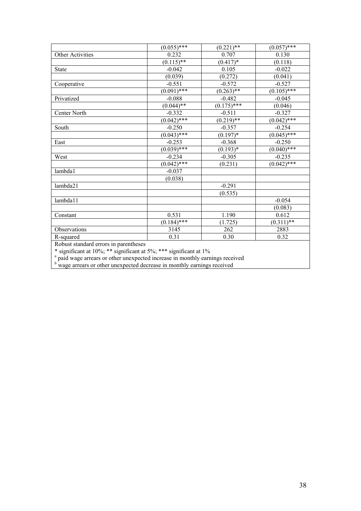|                                       | $(0.055)$ ***  | $(0.221)$ **  | $(0.057)$ ***       |
|---------------------------------------|----------------|---------------|---------------------|
| Other Activities                      | 0.232          | 0.707         | 0.130               |
|                                       | $(0.115)*$     | $(0.417)*$    | (0.118)             |
| <b>State</b>                          | $-0.042$       | 0.105         | $-0.022$            |
|                                       | (0.039)        | (0.272)       | (0.041)             |
| Cooperative                           | $-0.551$       | $-0.572$      | $-0.527$            |
|                                       | $(0.091)$ ***  | $(0.263)$ **  | $\sqrt{(0.105)$ *** |
| Privatized                            | $-0.088$       | $-0.482$      | $-0.045$            |
|                                       | $(0.044)^{**}$ | $(0.175)$ *** | (0.046)             |
| Center North                          | $-0.332$       | $-0.511$      | $-0.327$            |
|                                       | $(0.042)$ ***  | $(0.219)$ **  | $(0.042)$ ***       |
| South                                 | $-0.250$       | $-0.357$      | $-0.254$            |
|                                       | $(0.043)$ ***  | $(0.197)^*$   | $(0.045)$ ***       |
| East                                  | $-0.253$       | $-0.368$      | $-0.250$            |
|                                       | $(0.039)$ ***  | $(0.193)*$    | $(0.040)^{***}$     |
| West                                  | $-0.234$       | $-0.305$      | $-0.235$            |
|                                       | $(0.042)$ ***  | (0.231)       | $(0.042)$ ***       |
| lambda1                               | $-0.037$       |               |                     |
|                                       | (0.038)        |               |                     |
| lambda21                              |                | $-0.291$      |                     |
|                                       |                | (0.535)       |                     |
| lambda11                              |                |               | $-0.054$            |
|                                       |                |               | (0.083)             |
| Constant                              | 0.531          | 1.190         | 0.612               |
|                                       | $(0.184)$ ***  | (1.725)       | $(0.311)*$          |
| Observations                          | 3145           | 262           | 2883                |
| R-squared                             | 0.31           | 0.30          | 0.32                |
| Dobust standard arrors in parantheses |                |               |                     |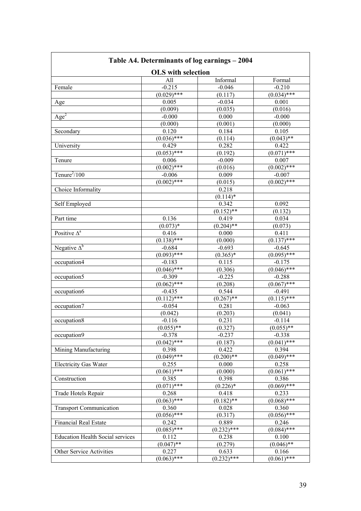| Table A4. Determinants of log earnings – 2004 |                 |                       |                     |  |
|-----------------------------------------------|-----------------|-----------------------|---------------------|--|
| <b>OLS</b> with selection                     |                 |                       |                     |  |
|                                               | All             | Informal              | Formal              |  |
| Female                                        | $-0.215$        | $-0.046$              | $-0.210$            |  |
|                                               | $(0.029)$ ***   | (0.117)               | $(0.034)$ ***       |  |
| Age                                           | 0.005           | $-0.034$              | 0.001               |  |
|                                               | (0.009)         | (0.035)               | (0.016)             |  |
| $\overline{Age^2}$                            | $-0.000$        | 0.000                 | $-0.000$            |  |
|                                               | (0.000)         | (0.001)               | (0.000)             |  |
| Secondary                                     | 0.120           | 0.184                 | 0.105               |  |
|                                               | $(0.036)$ ***   | (0.114)               | $(0.043)$ **        |  |
| University                                    | 0.429           | 0.282                 | 0.422               |  |
|                                               | $(0.053)$ ***   | (0.192)               | $(0.071)$ ***       |  |
| Tenure                                        | 0.006           | $-0.009$              | 0.007               |  |
|                                               | $(0.002)$ ***   | (0.016)               | $(0.002)$ ***       |  |
| Tenure $^{2}/100$                             | $-0.006$        | 0.009                 | $-0.007$            |  |
|                                               | $(0.002)$ ***   | (0.015)               | $(0.002)$ ***       |  |
| Choice Informality                            |                 | 0.218                 |                     |  |
|                                               |                 | $(0.114)$ *           |                     |  |
| Self Employed                                 |                 | 0.342                 | 0.092               |  |
|                                               |                 | $(0.152)$ **          |                     |  |
|                                               |                 |                       | (0.132)             |  |
| Part time                                     | 0.136           | 0.419<br>$(0.204)$ ** | 0.034               |  |
| Positive $\Delta^a$                           | $(0.073)*$      |                       | (0.073)             |  |
|                                               | 0.416           | 0.000                 | 0.411               |  |
|                                               | $(0.138)$ ***   | (0.000)               | $(0.137)$ ***       |  |
| Negative $\Delta^b$                           | $-0.684$        | $-0.693$              | $-0.645$            |  |
|                                               | $(0.093)$ ***   | $(0.365)*$            | $(0.095)$ ***       |  |
| occupation4                                   | $-0.183$        | 0.115                 | $-0.175$            |  |
|                                               | $(0.046)$ ***   | (0.306)               | $\sqrt{(0.046)***}$ |  |
| occupation5                                   | $-0.309$        | $-0.225$              | $-0.288$            |  |
|                                               | $(0.062)$ ***   | (0.208)               | $\sqrt{(0.067)***}$ |  |
| occupation6                                   | $-0.435$        | 0.544                 | $-0.491$            |  |
|                                               | $(0.112)$ ***   | $(0.267)$ **          | $(0.115)$ ***       |  |
| occupation7                                   | $-0.054$        | 0.281                 | $-0.063$            |  |
|                                               | (0.042)         | (0.203)               | (0.041)             |  |
| occupation8                                   | $-0.116$        | 0.231                 | $-0.114$            |  |
|                                               | $(0.055)$ **    | (0.327)               | $(0.055)$ **        |  |
| occupation9                                   | $-0.378$        | $-0.237$              | $-0.338$            |  |
|                                               | $(0.042)$ ***   | (0.187)               | $(0.041)$ ***       |  |
| Mining Manufacturing                          | 0.398           | 0.422                 | 0.394               |  |
|                                               | $(0.049)$ ***   | $(0.200)$ **          | $\sqrt{(0.049)***}$ |  |
| <b>Electricity Gas Water</b>                  | 0.255           | 0.000                 | 0.258               |  |
|                                               | $(0.061)$ ***   | (0.000)               | $(0.061)$ ***       |  |
| Construction                                  | 0.385           | 0.398                 | 0.386               |  |
|                                               | $(0.071)$ ***   | $(0.226)*$            | $(0.069)$ ***       |  |
| Trade Hotels Repair                           | 0.268           | 0.418                 | 0.233               |  |
|                                               | $(0.063)^{***}$ | $(0.182)$ **          | $(0.068)$ ***       |  |
| <b>Transport Communication</b>                | 0.360           | 0.028                 | 0.360               |  |
|                                               | $(0.056)$ ***   | (0.317)               | $(0.056)$ ***       |  |
| <b>Financial Real Estate</b>                  | 0.242           | 0.889                 | 0.246               |  |
|                                               | $(0.085)^{***}$ | $(0.232)$ ***         | $(0.084)$ ***       |  |
| <b>Education Health Social services</b>       | 0.112           | 0.238                 | 0.100               |  |
|                                               | $(0.047)*$      | (0.279)               | $(0.046)$ **        |  |
| Other Service Activities                      | 0.227           | 0.633                 | 0.166               |  |
|                                               | $(0.063)$ ***   | $(0.232)****$         | $(0.061)$ ***       |  |

#### **Table A4. Determinants of log earnings – 2004**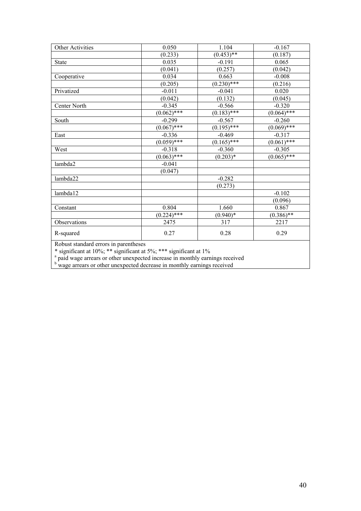| Other Activities | 0.050           | 1.104               | $-0.167$      |
|------------------|-----------------|---------------------|---------------|
|                  | (0.233)         | $(0.453)$ **        | (0.187)       |
| <b>State</b>     | 0.035           | $-0.191$            | 0.065         |
|                  | (0.041)         | (0.257)             | (0.042)       |
| Cooperative      | 0.034           | 0.663               | $-0.008$      |
|                  | (0.205)         | $(0.230)****$       | (0.216)       |
| Privatized       | $-0.011$        | $-0.041$            | 0.020         |
|                  | (0.042)         | (0.132)             | (0.045)       |
| Center North     | $-0.345$        | $-0.566$            | $-0.320$      |
|                  | $(0.062)^{***}$ | $(0.183)$ ***       | $(0.064)$ *** |
| South            | $-0.299$        | $-0.567$            | $-0.260$      |
|                  | $(0.067)$ ***   | $\sqrt{(0.195)$ *** | $(0.069)$ *** |
| East             | $-0.336$        | $-0.469$            | $-0.317$      |
|                  | $(0.059)$ ***   | $(0.165)$ ***       | $(0.061)$ *** |
| West             | $-0.318$        | $-0.360$            | $-0.305$      |
|                  | $(0.063)$ ***   | $(0.203)*$          | $(0.065)$ *** |
| lambda2          | $-0.041$        |                     |               |
|                  | (0.047)         |                     |               |
| lambda22         |                 | $-0.282$            |               |
|                  |                 | (0.273)             |               |
| lambda12         |                 |                     | $-0.102$      |
|                  |                 |                     | (0.096)       |
| Constant         | 0.804           | 1.660               | 0.867         |
|                  | $(0.224)$ ***   | $(0.940)*$          | $(0.386)*$    |
| Observations     | 2475            | 317                 | 2217          |
| R-squared        | 0.27            | 0.28                | 0.29          |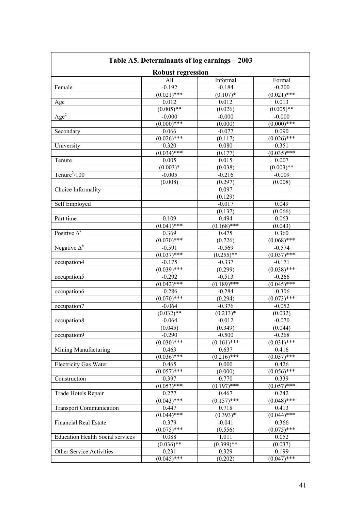| Table A5. Determinants of log earnings – 2003 |                          |                        |                         |  |
|-----------------------------------------------|--------------------------|------------------------|-------------------------|--|
|                                               | <b>Robust regression</b> |                        |                         |  |
|                                               | All                      | Informal               | Formal                  |  |
| Female                                        | $-0.192$                 | $-0.184$               | $-0.200$                |  |
|                                               | $(0.021)^{***}$          | $(0.107)*$             | $(0.021)$ ***           |  |
| Age                                           | 0.012                    | 0.012                  | 0.013                   |  |
|                                               | $(0.005)$ **             | (0.026)                | $(0.005)$ **            |  |
| $\overline{Age^2}$                            | $-0.000$                 | $-0.000$               | $-0.000$                |  |
|                                               | $(0.000)***$             | (0.000)                | $(0.000)***$            |  |
| Secondary                                     | 0.066                    | $-0.077$               | 0.090                   |  |
|                                               | $(0.026)$ ***            | (0.117)                | $(0.026)$ ***           |  |
| University                                    | 0.320                    | 0.080                  | 0.351                   |  |
|                                               | $(0.034)$ ***            | (0.177)                | $(0.035)$ ***           |  |
| Tenure                                        | 0.005                    | 0.015                  | 0.007                   |  |
|                                               | $(0.003)*$               | (0.038)                | $(0.003)$ **            |  |
| Tenure $^{2}/100$                             | $-0.005$                 | $-0.216$               | $-0.009$                |  |
|                                               | (0.008)                  | (0.297)                | (0.008)                 |  |
| Choice Informality                            |                          | 0.097                  |                         |  |
|                                               |                          | (0.129)                |                         |  |
| Self Employed                                 |                          | $-0.017$               | 0.049                   |  |
|                                               |                          | (0.137)                | (0.066)                 |  |
| Part time                                     | 0.109                    | 0.494                  | 0.063                   |  |
|                                               | $(0.041)$ ***            | $(0.168)$ ***          | (0.043)                 |  |
| Positive $\Delta^a$                           | 0.369                    | 0.475                  | 0.360                   |  |
|                                               | $(0.070)$ ***            | (0.726)                | $(0.068)$ ***           |  |
| Negative $\Delta^b$                           | $-0.591$                 | $-0.569$               | $-0.574$                |  |
|                                               | $(0.037)$ ***            | $(0.255)$ **           | $(0.037)$ ***           |  |
| occupation4                                   | $-0.175$                 | $-0.337$               | $-0.171$                |  |
|                                               | $(0.039)$ ***            | (0.299)                | $(0.038)$ ***           |  |
| occupation5                                   | $-0.292$                 | $-0.513$               | $-0.266$                |  |
|                                               | $(0.042)$ ***            | $(0.189)$ ***          | $(0.045)$ ***           |  |
| occupation6                                   | $-0.286$                 | $-0.284$               | $-0.306$                |  |
|                                               | $(0.070)$ ***            | (0.294)                | $(0.073)$ ***           |  |
| occupation7                                   | $-0.064$                 | $-0.376$               | $-0.052$                |  |
|                                               | $(0.032)$ **             | $(0.2\overline{13})^*$ | (0.032)                 |  |
| occupation8                                   | $-0.064$                 | $-0.012$               | $-0.070$                |  |
|                                               | (0.045)                  | (0.349)                | (0.044)                 |  |
| occupation9                                   | $-0.290$                 | $-0.500$               | $-0.268$                |  |
|                                               | $(0.030)$ ***            | $(0.161)$ ***          | $(0.03\overline{1)***}$ |  |
| Mining Manufacturing                          | 0.463                    | 0.637                  | 0.416                   |  |
|                                               | $(0.036)$ ***            | $(0.216)$ ***          | $(0.037)$ ***           |  |
| <b>Electricity Gas Water</b>                  |                          |                        |                         |  |
|                                               | 0.465<br>$(0.057)$ ***   | 0.000<br>(0.000)       | 0.426<br>$(0.056)$ ***  |  |
|                                               |                          |                        |                         |  |
| Construction                                  | 0.397                    | 0.770                  | 0.339                   |  |
|                                               | $(0.053)$ ***            | $(0.197)$ ***          | $(0.057)$ ***           |  |
| Trade Hotels Repair                           | 0.277                    | 0.467                  | 0.242                   |  |
|                                               | $(0.043)^{***}$          | $(0.157)$ ***          | $(0.048)$ ***           |  |
| <b>Transport Communication</b>                | 0.447                    | 0.718                  | 0.413                   |  |
|                                               | $(0.044)^{***}$          | $(0.393)*$             | $(0.044)$ ***           |  |
| <b>Financial Real Estate</b>                  | 0.379                    | $-0.041$               | 0.366                   |  |
|                                               | $(0.075)$ ***            | (0.556)                | $(0.075)$ ***           |  |
| <b>Education Health Social services</b>       | 0.088                    | 1.011                  | 0.052                   |  |
|                                               | $(0.036)$ **             | $(0.399)$ **           | (0.037)                 |  |
| Other Service Activities                      | 0.231                    | 0.329                  | 0.199                   |  |
|                                               | $(0.045)$ ***            | (0.202)                | $(0.047)$ ***           |  |

#### **Table A5. Determinants of log earnings – 2003**

 $\overline{\phantom{a}}$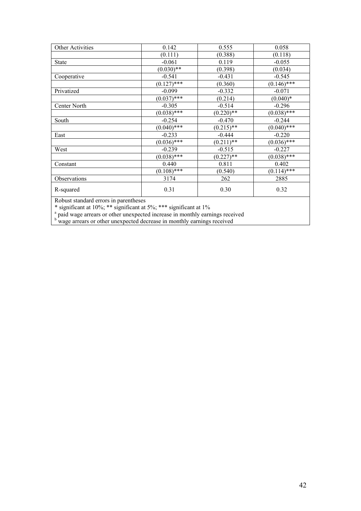| Other Activities                 | 0.142         | 0.555        | 0.058         |
|----------------------------------|---------------|--------------|---------------|
|                                  | (0.111)       | (0.388)      | (0.118)       |
| <b>State</b>                     | $-0.061$      | 0.119        | $-0.055$      |
|                                  | $(0.030)$ **  | (0.398)      | (0.034)       |
| Cooperative                      | $-0.541$      | $-0.431$     | $-0.545$      |
|                                  | $(0.127)$ *** | (0.360)      | $(0.146)$ *** |
| Privatized                       | $-0.099$      | $-0.332$     | $-0.071$      |
|                                  | $(0.037)$ *** | (0.214)      | $(0.040)*$    |
| Center North                     | $-0.305$      | $-0.514$     | $-0.296$      |
|                                  | $(0.038)$ *** | $(0.220)$ ** | $(0.038)$ *** |
| South                            | $-0.254$      | $-0.470$     | $-0.244$      |
|                                  | $(0.040)$ *** | $(0.215)$ ** | $(0.040)$ *** |
| East                             | $-0.233$      | $-0.444$     | $-0.220$      |
|                                  | $(0.036)$ *** | $(0.211)$ ** | $(0.036)$ *** |
| West                             | $-0.239$      | $-0.515$     | $-0.227$      |
|                                  | $(0.038)$ *** | $(0.227)$ ** | $(0.038)$ *** |
| Constant                         | 0.440         | 0.811        | 0.402         |
|                                  | $(0.108)$ *** | (0.540)      | $(0.114)$ *** |
| Observations                     | 3174          | 262          | 2885          |
| R-squared                        | 0.31          | 0.30         | 0.32          |
| $n$ <b>1</b> $\cdots$ <b>1 1</b> | $\cdot$ 1     |              |               |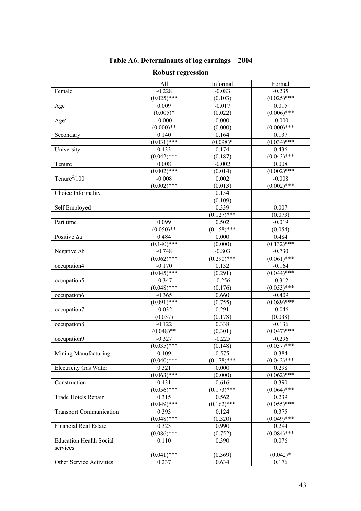| Table A6. Determinants of log earnings - 2004<br><b>Robust regression</b> |               |               |                 |
|---------------------------------------------------------------------------|---------------|---------------|-----------------|
|                                                                           |               |               |                 |
| Female                                                                    | $-0.228$      | $-0.083$      | $-0.235$        |
|                                                                           | $(0.025)$ *** | (0.103)       | $(0.025)$ ***   |
| Age                                                                       | 0.009         | $-0.017$      | 0.015           |
|                                                                           | $(0.005)*$    | (0.022)       | $(0.006)$ ***   |
| Age <sup>2</sup>                                                          | $-0.000$      | 0.000         | $-0.000$        |
|                                                                           | $(0.000)**$   | (0.000)       | $(0.000)****$   |
| Secondary                                                                 | 0.140         | 0.164         | 0.137           |
|                                                                           | $(0.031)$ *** | $(0.098)*$    | $(0.034)$ ***   |
| University                                                                | 0.433         | 0.174         | 0.436           |
|                                                                           | $(0.042)$ *** | (0.187)       | $(0.043)$ ***   |
| Tenure                                                                    | 0.008         | $-0.002$      | 0.008           |
|                                                                           | $(0.002)$ *** | (0.014)       | $(0.002)$ ***   |
| Tenure $^{2}/100$                                                         | $-0.008$      | 0.002         | $-0.008$        |
|                                                                           | $(0.002)$ *** | (0.013)       | $(0.002)^{***}$ |
| Choice Informality                                                        |               | 0.154         |                 |
|                                                                           |               | (0.109)       |                 |
| Self Employed                                                             |               | 0.339         | 0.007           |
|                                                                           |               | $(0.127)$ *** | (0.073)         |
| Part time                                                                 | 0.099         | 0.502         | $-0.019$        |
|                                                                           | $(0.050)**$   | $(0.158)$ *** | (0.054)         |
| Positive Aa                                                               | 0.484         | 0.000         | 0.484           |
|                                                                           | $(0.140)$ *** | (0.000)       | $(0.132)$ ***   |
| Negative $\Delta b$                                                       | $-0.748$      | $-0.803$      | $-0.730$        |
|                                                                           | $(0.062)$ *** | $(0.290)$ *** | $(0.061)$ ***   |
| occupation4                                                               | $-0.170$      | 0.132         | $-0.164$        |
|                                                                           | $(0.045)$ *** | (0.291)       | $(0.044)$ ***   |
| occupation5                                                               | $-0.347$      | $-0.256$      | $-0.312$        |
|                                                                           | $(0.048)$ *** | (0.176)       | $(0.053)$ ***   |
| occupation6                                                               | $-0.365$      | 0.660         | $-0.409$        |
|                                                                           | $(0.091)$ *** | (0.755)       | $(0.089)$ ***   |
| occupation7                                                               | $-0.032$      | 0.291         | $-0.046$        |
|                                                                           | (0.037)       | (0.178)       | (0.038)         |
| occupation8                                                               | $-0.122$      | 0.338         | $-0.136$        |
|                                                                           | $(0.048)$ **  | (0.301)       | $(0.047)$ ***   |
| occupation9                                                               | $-0.327$      | $-0.225$      | $-0.296$        |
|                                                                           | $(0.035)$ *** | (0.148)       | $(0.037)$ ***   |
| Mining Manufacturing                                                      | 0.409         | 0.575         | 0.384           |
|                                                                           | $(0.040)$ *** | $(0.178)$ *** | $(0.042)$ ***   |
| <b>Electricity Gas Water</b>                                              | 0.321         | 0.000         | 0.298           |
|                                                                           | $(0.063)$ *** | (0.000)       | $(0.062)$ ***   |
| Construction                                                              | 0.431         | 0.616         | 0.390           |
|                                                                           | $(0.056)$ *** | $(0.173)$ *** | $(0.064)$ ***   |
| Trade Hotels Repair                                                       | 0.315         | 0.562         | 0.239           |
|                                                                           | $(0.049)$ *** | $(0.162)$ *** | $(0.055)^{***}$ |
| <b>Transport Communication</b>                                            | 0.393         | 0.124         | 0.375           |
|                                                                           | $(0.048)$ *** | (0.320)       | $(0.049)$ ***   |
| <b>Financial Real Estate</b>                                              | 0.323         | 0.990         | 0.294           |
|                                                                           | $(0.086)$ *** | (0.752)       | $(0.084)$ ***   |
| <b>Education Health Social</b><br>services                                | 0.110         | 0.390         | 0.076           |
|                                                                           | $(0.041)$ *** | (0.369)       | $(0.042)*$      |
| Other Service Activities                                                  | 0.237         | 0.634         | 0.176           |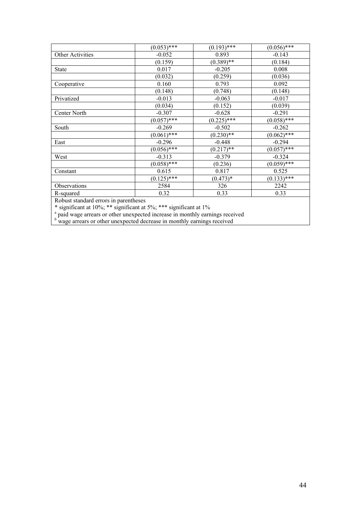|                                        | $(0.053)^{***}$ | $(0.193)$ *** | $(0.056)$ *** |
|----------------------------------------|-----------------|---------------|---------------|
| <b>Other Activities</b>                | $-0.052$        | 0.893         | $-0.143$      |
|                                        | (0.159)         | $(0.389)$ **  | (0.184)       |
| <b>State</b>                           | 0.017           | $-0.205$      | 0.008         |
|                                        | (0.032)         | (0.259)       | (0.036)       |
| Cooperative                            | 0.160           | 0.793         | 0.092         |
|                                        | (0.148)         | (0.748)       | (0.148)       |
| Privatized                             | $-0.013$        | $-0.063$      | $-0.017$      |
|                                        | (0.034)         | (0.152)       | (0.039)       |
| Center North                           | $-0.307$        | $-0.628$      | $-0.291$      |
|                                        | $(0.057)$ ***   | $(0.225)$ *** | $(0.058)$ *** |
| South                                  | $-0.269$        | $-0.502$      | $-0.262$      |
|                                        | $(0.061)$ ***   | $(0.230)$ **  | $(0.062)$ *** |
| East                                   | $-0.296$        | $-0.448$      | $-0.294$      |
|                                        | $(0.056)$ ***   | $(0.217)$ **  | $(0.057)$ *** |
| West                                   | $-0.313$        | $-0.379$      | $-0.324$      |
|                                        | $(0.058)$ ***   | (0.236)       | $(0.059)$ *** |
| Constant                               | 0.615           | 0.817         | 0.525         |
|                                        | $(0.125)$ ***   | $(0.473)*$    | $(0.133)$ *** |
| Observations                           | 2584            | 326           | 2242          |
| R-squared                              | 0.32            | 0.33          | 0.33          |
| Dohuat atomdord organization and those |                 |               |               |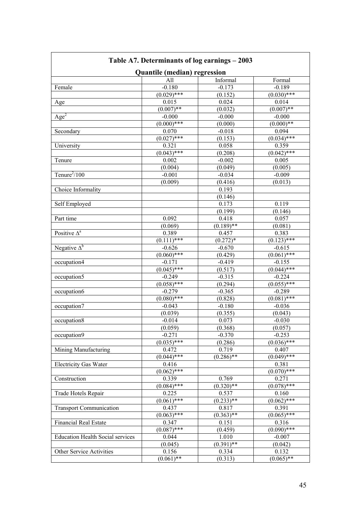| Table A7. Determinants of log earnings – 2003 |                 |              |                 |  |
|-----------------------------------------------|-----------------|--------------|-----------------|--|
| <b>Quantile (median) regression</b>           |                 |              |                 |  |
|                                               | All             | Informal     | Formal          |  |
| Female                                        | $-0.180$        | $-0.173$     | $-0.189$        |  |
|                                               | $(0.029)$ ***   | (0.152)      | $(0.030)$ ***   |  |
| Age                                           | 0.015           | 0.024        | 0.014           |  |
|                                               | $(0.007)$ **    | (0.032)      | $(0.007)$ **    |  |
| $\overline{Age^2}$                            | $-0.000$        | $-0.000$     | $-0.000$        |  |
|                                               | $(0.000)***$    | (0.000)      | $(0.000)**$     |  |
| Secondary                                     | 0.070           | $-0.018$     | 0.094           |  |
|                                               | $(0.027)$ ***   | (0.153)      | $(0.034)$ ***   |  |
| University                                    | 0.321           | 0.058        | 0.359           |  |
|                                               | $(0.043)$ ***   | (0.208)      | $(0.042)$ ***   |  |
| Tenure                                        | 0.002           | $-0.002$     | 0.005           |  |
|                                               | (0.004)         | (0.049)      | (0.005)         |  |
| Tenure $^{2}/100$                             | $-0.001$        | $-0.034$     | $-0.009$        |  |
|                                               | (0.009)         | (0.416)      | (0.013)         |  |
| Choice Informality                            |                 | 0.193        |                 |  |
|                                               |                 | (0.146)      |                 |  |
| Self Employed                                 |                 | 0.173        | 0.119           |  |
|                                               |                 |              |                 |  |
|                                               |                 | (0.199)      | (0.146)         |  |
| Part time                                     | 0.092           | 0.418        | 0.057           |  |
|                                               | (0.069)         | $(0.189)$ ** | (0.081)         |  |
| Positive $\Delta^a$                           | 0.389           | 0.457        | 0.383           |  |
|                                               | $(0.111)$ ***   | $(0.272)*$   | $(0.123)$ ***   |  |
| Negative $\Delta^b$                           | $-0.626$        | $-0.670$     | $-0.615$        |  |
|                                               | $(0.060)$ ***   | (0.429)      | $(0.061)$ ***   |  |
| occupation4                                   | $-0.171$        | $-0.419$     | $-0.155$        |  |
|                                               | $(0.045)$ ***   | (0.517)      | $(0.044)$ ***   |  |
| occupation5                                   | $-0.249$        | $-0.315$     | $-0.224$        |  |
|                                               | $(0.058)$ ***   | (0.294)      | $(0.055)$ ***   |  |
| occupation6                                   | $-0.279$        | $-0.365$     | $-0.289$        |  |
|                                               | $(0.080)$ ***   | (0.828)      | $(0.081)$ ***   |  |
| occupation7                                   | $-0.043$        | $-0.180$     | $-0.036$        |  |
|                                               | (0.039)         | (0.355)      | (0.043)         |  |
| occupation8                                   | $-0.014$        | 0.073        | $-0.030$        |  |
|                                               | (0.059)         | (0.368)      | (0.057)         |  |
| occupation9                                   | $-0.271$        | $-0.370$     | $-0.253$        |  |
|                                               | $(0.035)$ ***   | (0.286)      | $(0.036)$ ***   |  |
| Mining Manufacturing                          | 0.472           | 0.719        | 0.407           |  |
|                                               | $(0.044)$ ***   | $(0.286)$ ** | $(0.049)$ ***   |  |
| <b>Electricity Gas Water</b>                  | 0.416           |              | 0.381           |  |
|                                               | $(0.062)$ ***   |              | $(0.070)$ ***   |  |
| Construction                                  | 0.339           | 0.769        | 0.271           |  |
|                                               | $(0.084)$ ***   | $(0.320)**$  | $(0.078)$ ***   |  |
| Trade Hotels Repair                           | 0.225           | 0.537        | 0.160           |  |
|                                               | $(0.061)^{***}$ | $(0.233)$ ** | $(0.062)^{***}$ |  |
| <b>Transport Communication</b>                | 0.437           | 0.817        | 0.391           |  |
|                                               | $(0.063)$ ***   | $(0.363)$ ** | $(0.065)$ ***   |  |
| <b>Financial Real Estate</b>                  | 0.347           | 0.151        | 0.316           |  |
|                                               | $(0.087)$ ***   | (0.459)      | $(0.090)$ ***   |  |
| <b>Education Health Social services</b>       | 0.044           | 1.010        | $-0.007$        |  |
|                                               | (0.045)         | $(0.391)$ ** | (0.042)         |  |
| Other Service Activities                      | 0.156           | 0.334        | 0.132           |  |
|                                               | $(0.061)$ **    | (0.313)      | $(0.065)$ **    |  |
|                                               |                 |              |                 |  |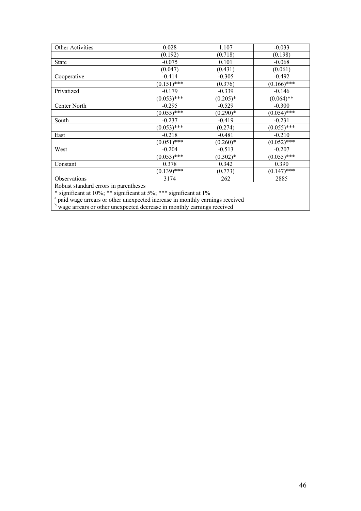| Other Activities                      | 0.028         | 1.107       | $-0.033$      |
|---------------------------------------|---------------|-------------|---------------|
|                                       | (0.192)       | (0.718)     | (0.198)       |
| <b>State</b>                          | $-0.075$      | 0.101       | $-0.068$      |
|                                       | (0.047)       | (0.431)     | (0.061)       |
| Cooperative                           | $-0.414$      | $-0.305$    | $-0.492$      |
|                                       | $(0.151)$ *** | (0.376)     | $(0.166)$ *** |
| Privatized                            | $-0.179$      | $-0.339$    | $-0.146$      |
|                                       | $(0.053)$ *** | $(0.205)^*$ | $(0.064)$ **  |
| Center North                          | $-0.295$      | $-0.529$    | $-0.300$      |
|                                       | $(0.055)$ *** | $(0.290)*$  | $(0.054)$ *** |
| South                                 | $-0.237$      | $-0.419$    | $-0.231$      |
|                                       | $(0.053)$ *** | (0.274)     | $(0.055)$ *** |
| East                                  | $-0.218$      | $-0.481$    | $-0.210$      |
|                                       | $(0.051)$ *** | $(0.260)*$  | $(0.052)$ *** |
| West                                  | $-0.204$      | $-0.513$    | $-0.207$      |
|                                       | $(0.053)$ *** | $(0.302)*$  | $(0.055)$ *** |
| Constant                              | 0.378         | 0.342       | 0.390         |
|                                       | $(0.139)$ *** | (0.773)     | $(0.147)$ *** |
| Observations                          | 3174          | 262         | 2885          |
| Robust standard errors in parentheses |               |             |               |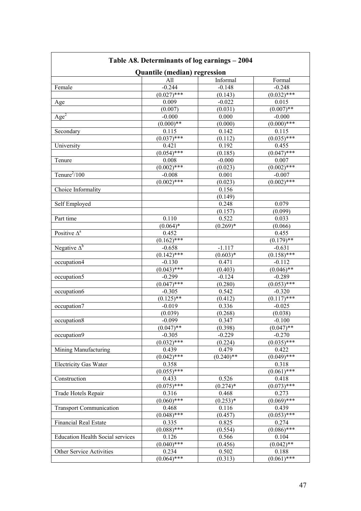| Table A8. Determinants of log earnings – 2004 |                         |              |               |  |
|-----------------------------------------------|-------------------------|--------------|---------------|--|
| Quantile (median) regression                  |                         |              |               |  |
|                                               | All                     | Informal     | Formal        |  |
| Female                                        | $-0.244$                | $-0.148$     | $-0.248$      |  |
|                                               | $(0.027)$ ***           | (0.143)      | $(0.032)$ *** |  |
| Age                                           | 0.009                   | $-0.022$     | 0.015         |  |
|                                               | (0.007)                 | (0.031)      | $(0.007)$ **  |  |
| Age <sup>2</sup>                              | $-0.000$                | 0.000        | $-0.000$      |  |
|                                               | $(0.000)**$             | (0.000)      | $(0.000)***$  |  |
| Secondary                                     | 0.115                   | 0.142        | 0.115         |  |
|                                               | $(0.037)$ ***           | (0.112)      | $(0.035)$ *** |  |
| University                                    | 0.421                   | 0.192        | 0.455         |  |
|                                               | $(0.054)$ ***           | (0.185)      | $(0.047)$ *** |  |
| Tenure                                        | 0.008                   | $-0.000$     | 0.007         |  |
|                                               | $(0.002)$ ***           | (0.023)      | $(0.002)$ *** |  |
| Tenure $\frac{2}{100}$                        | $-0.008$                | 0.001        | $-0.007$      |  |
|                                               | $(0.002)$ ***           | (0.023)      | $(0.002)$ *** |  |
| Choice Informality                            |                         | 0.156        |               |  |
|                                               |                         | (0.149)      |               |  |
| Self Employed                                 |                         | 0.248        | 0.079         |  |
|                                               |                         | (0.157)      | (0.099)       |  |
| Part time                                     | 0.110                   | 0.522        | 0.033         |  |
|                                               | $(0.064)*$              | $(0.269)*$   | (0.066)       |  |
| Positive $\Delta^a$                           | 0.452                   |              | 0.455         |  |
|                                               | $\sqrt{(0.162)$ ***     |              | $(0.179)$ **  |  |
| Negative $\Delta^b$                           | $-0.658$                | $-1.117$     | $-0.631$      |  |
|                                               | $\overline{(0.142)***}$ | $(0.603)*$   | $(0.158)$ *** |  |
| occupation4                                   | $-0.130$                | 0.471        | $-0.112$      |  |
|                                               | $(0.043)$ ***           | (0.403)      | $(0.046)$ **  |  |
| occupation5                                   | $-0.299$                | $-0.124$     | $-0.289$      |  |
|                                               | $(0.047)$ ***           | (0.280)      | $(0.053)$ *** |  |
| occupation6                                   | $-0.305$                | 0.542        | $-0.320$      |  |
|                                               | $(0.125)$ **            | (0.412)      | $(0.117)$ *** |  |
| occupation7                                   | $-0.019$                | 0.336        | $-0.025$      |  |
|                                               | (0.039)                 | (0.268)      | (0.038)       |  |
| occupation8                                   | $-0.099$                | 0.347        | $-0.100$      |  |
|                                               | $(0.047)$ **            | (0.398)      | $(0.047)$ **  |  |
| occupation9                                   | $-0.305$                | $-0.229$     | $-0.270$      |  |
|                                               | $(0.032)$ ***           | (0.224)      | $(0.035)$ *** |  |
| Mining Manufacturing                          | 0.439                   | 0.479        | 0.422         |  |
|                                               | $(0.042)$ ***           | $(0.240)$ ** | $(0.049)$ *** |  |
| <b>Electricity Gas Water</b>                  | 0.358                   |              | 0.318         |  |
|                                               | $(0.055)$ ***           |              | $(0.061)$ *** |  |
| Construction                                  | 0.433                   | 0.526        | 0.418         |  |
|                                               | $(0.075)$ ***           | $(0.274)^*$  | $(0.073)$ *** |  |
|                                               | 0.316                   | 0.468        | 0.273         |  |
| Trade Hotels Repair                           | $(0.060)$ ***           | $(0.253)*$   | $(0.069)$ *** |  |
|                                               |                         |              |               |  |
| <b>Transport Communication</b>                | 0.468                   | 0.116        | 0.439         |  |
|                                               | $(0.048)$ ***           | (0.457)      | $(0.053)$ *** |  |
| <b>Financial Real Estate</b>                  | 0.335                   | 0.825        | 0.274         |  |
|                                               | $(0.088)$ ***           | (0.554)      | $(0.086)$ *** |  |
| <b>Education Health Social services</b>       | 0.126                   | 0.566        | 0.104         |  |
|                                               | $(0.040)$ ***           | (0.456)      | $(0.042)$ **  |  |
| Other Service Activities                      | 0.234                   | 0.502        | 0.188         |  |
|                                               | $(0.064)$ ***           | (0.313)      | $(0.061)$ *** |  |

 $\overline{\phantom{a}}$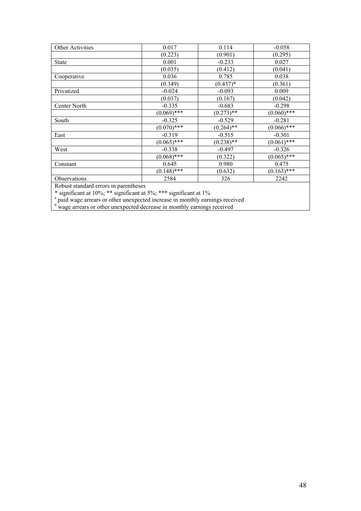| Other Activities                      | 0.017          | 0.114        | $-0.058$      |
|---------------------------------------|----------------|--------------|---------------|
|                                       | (0.223)        | (0.901)      | (0.295)       |
| <b>State</b>                          | 0.001          | $-0.233$     | 0.027         |
|                                       | (0.035)        | (0.412)      | (0.041)       |
| Cooperative                           | 0.036          | 0.785        | 0.038         |
|                                       | (0.349)        | $(0.437)*$   | (0.361)       |
| Privatized                            | $-0.024$       | $-0.093$     | 0.009         |
|                                       | (0.037)        | (0.167)      | (0.042)       |
| Center North                          | $-0.335$       | $-0.683$     | $-0.298$      |
|                                       | $(0.069)$ ***  | $(0.273)*$   | $(0.060)****$ |
| South                                 | $-0.325$       | $-0.529$     | $-0.281$      |
|                                       | $(0.070)*$ *** | $(0.264)$ ** | $(0.066)$ *** |
| East                                  | $-0.319$       | $-0.515$     | $-0.301$      |
|                                       | $(0.065)$ ***  | $(0.238)$ ** | $(0.061)$ *** |
| West                                  | $-0.338$       | $-0.497$     | $-0.326$      |
|                                       | $(0.068)$ ***  | (0.322)      | $(0.065)$ *** |
| Constant                              | 0.645          | 0.980        | 0.475         |
|                                       | $(0.148)$ ***  | (0.632)      | $(0.163)$ *** |
| Observations                          | 2584           | 326          | 2242          |
| Robust standard errors in narentheses |                |              |               |